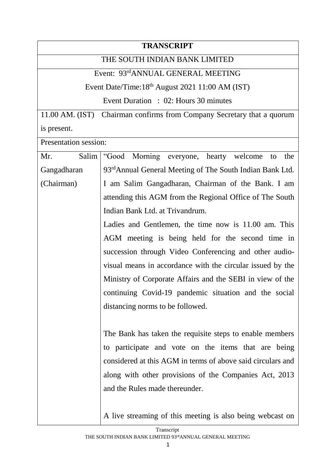## **TRANSCRIPT** THE SOUTH INDIAN BANK LIMITED Event: 93rdANNUAL GENERAL MEETING Event Date/Time: $18<sup>th</sup>$  August 2021 11:00 AM (IST) Event Duration : 02: Hours 30 minutes 11.00 AM. (IST) Chairman confirms from Company Secretary that a quorum is present. Presentation session: Mr. Salim Gangadharan (Chairman) "Good Morning everyone, hearty welcome to the 93rdAnnual General Meeting of The South Indian Bank Ltd. I am Salim Gangadharan, Chairman of the Bank. I am attending this AGM from the Regional Office of The South Indian Bank Ltd. at Trivandrum. Ladies and Gentlemen, the time now is 11.00 am. This AGM meeting is being held for the second time in succession through Video Conferencing and other audiovisual means in accordance with the circular issued by the Ministry of Corporate Affairs and the SEBI in view of the continuing Covid-19 pandemic situation and the social distancing norms to be followed. The Bank has taken the requisite steps to enable members to participate and vote on the items that are being considered at this AGM in terms of above said circulars and along with other provisions of the Companies Act, 2013 and the Rules made thereunder. A live streaming of this meeting is also being webcast on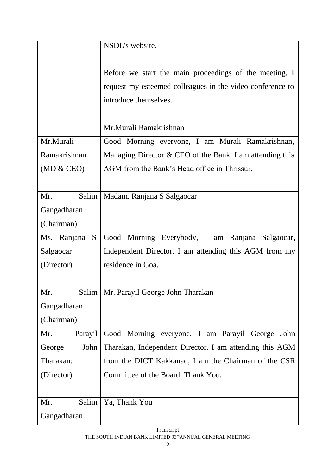|                  | NSDL's website.                                            |
|------------------|------------------------------------------------------------|
|                  |                                                            |
|                  | Before we start the main proceedings of the meeting, I     |
|                  | request my esteemed colleagues in the video conference to  |
|                  | introduce themselves.                                      |
|                  |                                                            |
|                  | Mr.Murali Ramakrishnan                                     |
| Mr.Murali        | Good Morning everyone, I am Murali Ramakrishnan,           |
| Ramakrishnan     | Managing Director $&$ CEO of the Bank. I am attending this |
| (MD & CEO)       | AGM from the Bank's Head office in Thrissur.               |
|                  |                                                            |
| Mr.<br>Salim     | Madam. Ranjana S Salgaocar                                 |
| Gangadharan      |                                                            |
| (Chairman)       |                                                            |
| Ms. Ranjana<br>S | Good Morning Everybody, I am Ranjana Salgaocar,            |
| Salgaocar        | Independent Director. I am attending this AGM from my      |
| (Director)       | residence in Goa.                                          |
|                  |                                                            |
| Mr.              | Salim   Mr. Parayil George John Tharakan                   |
| Gangadharan      |                                                            |
| (Chairman)       |                                                            |
|                  |                                                            |
| Mr.<br>Parayil   | Good Morning everyone, I am Parayil George<br>John         |
| George<br>John   | Tharakan, Independent Director. I am attending this AGM    |
| Tharakan:        | from the DICT Kakkanad, I am the Chairman of the CSR       |
| (Director)       | Committee of the Board. Thank You.                         |
|                  |                                                            |
| Salim<br>Mr.     | Ya, Thank You                                              |
| Gangadharan      |                                                            |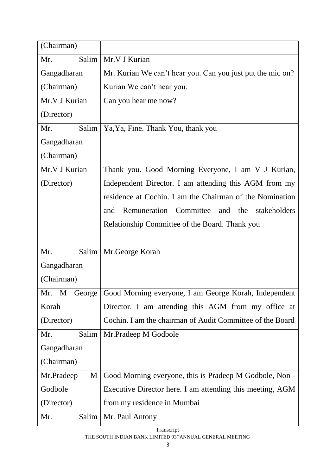| (Chairman)      |                                                                      |
|-----------------|----------------------------------------------------------------------|
| Salim<br>Mr.    | Mr.V J Kurian                                                        |
| Gangadharan     | Mr. Kurian We can't hear you. Can you just put the mic on?           |
| (Chairman)      | Kurian We can't hear you.                                            |
| Mr.V J Kurian   | Can you hear me now?                                                 |
| (Director)      |                                                                      |
| Salim<br>Mr.    | Ya, Ya, Fine. Thank You, thank you                                   |
| Gangadharan     |                                                                      |
| (Chairman)      |                                                                      |
| Mr.V J Kurian   | Thank you. Good Morning Everyone, I am V J Kurian,                   |
| (Director)      | Independent Director. I am attending this AGM from my                |
|                 | residence at Cochin. I am the Chairman of the Nomination             |
|                 | Remuneration Committee<br>and the stakeholders<br>and                |
|                 | Relationship Committee of the Board. Thank you                       |
|                 |                                                                      |
| Salim<br>Mr.    | Mr.George Korah                                                      |
| Gangadharan     |                                                                      |
| (Chairman)      |                                                                      |
|                 | Mr. M George   Good Morning everyone, I am George Korah, Independent |
| Korah           | Director. I am attending this AGM from my office at                  |
| (Director)      | Cochin. I am the chairman of Audit Committee of the Board            |
| Salim<br>Mr.    | Mr.Pradeep M Godbole                                                 |
| Gangadharan     |                                                                      |
| (Chairman)      |                                                                      |
| M<br>Mr.Pradeep | Good Morning everyone, this is Pradeep M Godbole, Non -              |
| Godbole         | Executive Director here. I am attending this meeting, AGM            |
| (Director)      | from my residence in Mumbai                                          |
| Salim<br>Mr.    | Mr. Paul Antony                                                      |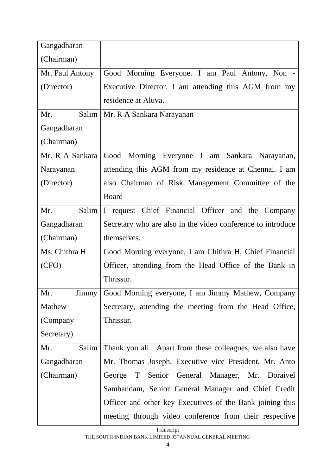| Gangadharan       |                                                             |
|-------------------|-------------------------------------------------------------|
| (Chairman)        |                                                             |
| Mr. Paul Antony   | Good Morning Everyone. I am Paul Antony, Non -              |
| (Director)        | Executive Director. I am attending this AGM from my         |
|                   | residence at Aluva.                                         |
| Salim<br>Mr.      | Mr. R A Sankara Narayanan                                   |
| Gangadharan       |                                                             |
| (Chairman)        |                                                             |
| Mr. R A Sankara   | Good Morning Everyone I am Sankara Narayanan,               |
| Narayanan         | attending this AGM from my residence at Chennai. I am       |
| (Director)        | also Chairman of Risk Management Committee of the           |
|                   | <b>Board</b>                                                |
| Salim<br>Mr.      | I request Chief Financial Officer and the Company           |
| Gangadharan       | Secretary who are also in the video conference to introduce |
| (Chairman)        | themselves.                                                 |
| Ms. Chithra H     | Good Morning everyone, I am Chithra H, Chief Financial      |
| (CFO)             | Officer, attending from the Head Office of the Bank in      |
|                   | Thrissur.                                                   |
| Mr.<br>$\lim_{y}$ | Good Morning everyone, I am Jimmy Mathew, Company           |
| Mathew            | Secretary, attending the meeting from the Head Office,      |
| (Company          | Thrissur.                                                   |
| Secretary)        |                                                             |
| Salim<br>Mr.      | Thank you all. Apart from these colleagues, we also have    |
| Gangadharan       | Mr. Thomas Joseph, Executive vice President, Mr. Anto       |
| (Chairman)        | George T<br>Senior General Manager, Mr. Doraivel            |
|                   | Sambandam, Senior General Manager and Chief Credit          |
|                   | Officer and other key Executives of the Bank joining this   |
|                   | meeting through video conference from their respective      |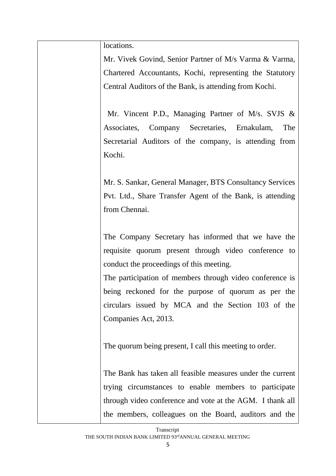locations.

Mr. Vivek Govind, Senior Partner of M/s Varma & Varma, Chartered Accountants, Kochi, representing the Statutory Central Auditors of the Bank, is attending from Kochi.

 Mr. Vincent P.D., Managing Partner of M/s. SVJS & Associates, Company Secretaries, Ernakulam, The Secretarial Auditors of the company, is attending from Kochi.

Mr. S. Sankar, General Manager, BTS Consultancy Services Pvt. Ltd., Share Transfer Agent of the Bank, is attending from Chennai.

The Company Secretary has informed that we have the requisite quorum present through video conference to conduct the proceedings of this meeting.

The participation of members through video conference is being reckoned for the purpose of quorum as per the circulars issued by MCA and the Section 103 of the Companies Act, 2013.

The quorum being present, I call this meeting to order.

The Bank has taken all feasible measures under the current trying circumstances to enable members to participate through video conference and vote at the AGM. I thank all the members, colleagues on the Board, auditors and the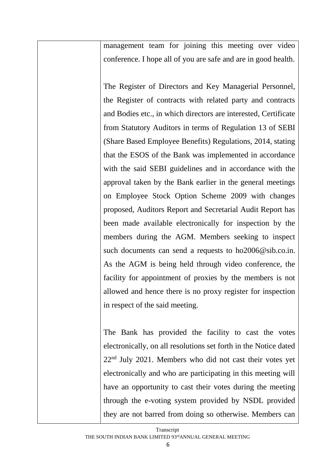management team for joining this meeting over video conference. I hope all of you are safe and are in good health.

The Register of Directors and Key Managerial Personnel, the Register of contracts with related party and contracts and Bodies etc., in which directors are interested, Certificate from Statutory Auditors in terms of Regulation 13 of SEBI (Share Based Employee Benefits) Regulations, 2014, stating that the ESOS of the Bank was implemented in accordance with the said SEBI guidelines and in accordance with the approval taken by the Bank earlier in the general meetings on Employee Stock Option Scheme 2009 with changes proposed, Auditors Report and Secretarial Audit Report has been made available electronically for inspection by the members during the AGM. Members seeking to inspect such documents can send a requests to ho2006@sib.co.in. As the AGM is being held through video conference, the facility for appointment of proxies by the members is not allowed and hence there is no proxy register for inspection in respect of the said meeting.

The Bank has provided the facility to cast the votes electronically, on all resolutions set forth in the Notice dated 22nd July 2021. Members who did not cast their votes yet electronically and who are participating in this meeting will have an opportunity to cast their votes during the meeting through the e-voting system provided by NSDL provided they are not barred from doing so otherwise. Members can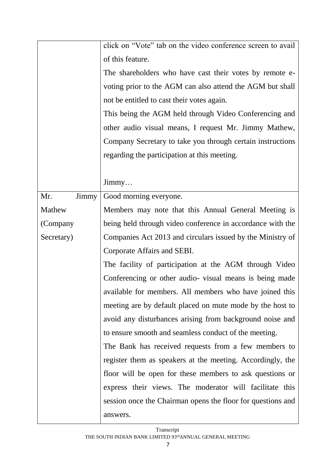|              | click on "Vote" tab on the video conference screen to avail |  |
|--------------|-------------------------------------------------------------|--|
|              | of this feature.                                            |  |
|              | The shareholders who have cast their votes by remote e-     |  |
|              | voting prior to the AGM can also attend the AGM but shall   |  |
|              | not be entitled to cast their votes again.                  |  |
|              | This being the AGM held through Video Conferencing and      |  |
|              | other audio visual means, I request Mr. Jimmy Mathew,       |  |
|              | Company Secretary to take you through certain instructions  |  |
|              | regarding the participation at this meeting.                |  |
|              |                                                             |  |
|              | $\text{Jimmy} \dots$                                        |  |
| Mr.<br>Jimmy | Good morning everyone.                                      |  |
| Mathew       | Members may note that this Annual General Meeting is        |  |
| (Company     | being held through video conference in accordance with the  |  |
| Secretary)   | Companies Act 2013 and circulars issued by the Ministry of  |  |
|              | Corporate Affairs and SEBI.                                 |  |
|              | The facility of participation at the AGM through Video      |  |
|              | Conferencing or other audio- visual means is being made     |  |
|              | available for members. All members who have joined this     |  |
|              | meeting are by default placed on mute mode by the host to   |  |
|              | avoid any disturbances arising from background noise and    |  |
|              | to ensure smooth and seamless conduct of the meeting.       |  |
|              | The Bank has received requests from a few members to        |  |
|              | register them as speakers at the meeting. Accordingly, the  |  |
|              | floor will be open for these members to ask questions or    |  |
|              | express their views. The moderator will facilitate this     |  |
|              | session once the Chairman opens the floor for questions and |  |
|              | answers.                                                    |  |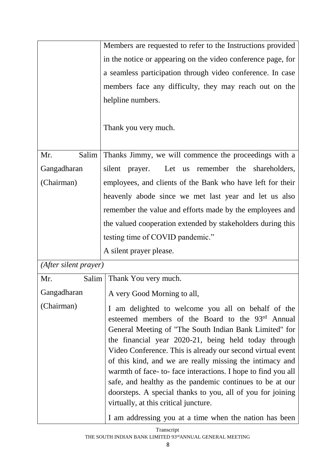|                       | Members are requested to refer to the Instructions provided                                                                                                                                                                                                                                                                                                                                                                                                                                                                                                                          |
|-----------------------|--------------------------------------------------------------------------------------------------------------------------------------------------------------------------------------------------------------------------------------------------------------------------------------------------------------------------------------------------------------------------------------------------------------------------------------------------------------------------------------------------------------------------------------------------------------------------------------|
|                       | in the notice or appearing on the video conference page, for                                                                                                                                                                                                                                                                                                                                                                                                                                                                                                                         |
|                       | a seamless participation through video conference. In case                                                                                                                                                                                                                                                                                                                                                                                                                                                                                                                           |
|                       | members face any difficulty, they may reach out on the                                                                                                                                                                                                                                                                                                                                                                                                                                                                                                                               |
|                       | helpline numbers.                                                                                                                                                                                                                                                                                                                                                                                                                                                                                                                                                                    |
|                       | Thank you very much.                                                                                                                                                                                                                                                                                                                                                                                                                                                                                                                                                                 |
| Salim<br>Mr.          | Thanks Jimmy, we will commence the proceedings with a                                                                                                                                                                                                                                                                                                                                                                                                                                                                                                                                |
| Gangadharan           | Let us remember the shareholders,<br>silent prayer.                                                                                                                                                                                                                                                                                                                                                                                                                                                                                                                                  |
| (Chairman)            | employees, and clients of the Bank who have left for their                                                                                                                                                                                                                                                                                                                                                                                                                                                                                                                           |
|                       | heavenly abode since we met last year and let us also                                                                                                                                                                                                                                                                                                                                                                                                                                                                                                                                |
|                       | remember the value and efforts made by the employees and                                                                                                                                                                                                                                                                                                                                                                                                                                                                                                                             |
|                       | the valued cooperation extended by stakeholders during this                                                                                                                                                                                                                                                                                                                                                                                                                                                                                                                          |
|                       | testing time of COVID pandemic."                                                                                                                                                                                                                                                                                                                                                                                                                                                                                                                                                     |
|                       | A silent prayer please.                                                                                                                                                                                                                                                                                                                                                                                                                                                                                                                                                              |
| (After silent prayer) |                                                                                                                                                                                                                                                                                                                                                                                                                                                                                                                                                                                      |
| Mr.<br>Salim          | Thank You very much.                                                                                                                                                                                                                                                                                                                                                                                                                                                                                                                                                                 |
|                       | Gangadharan   A very Good Morning to all,                                                                                                                                                                                                                                                                                                                                                                                                                                                                                                                                            |
| (Chairman)            | I am delighted to welcome you all on behalf of the<br>esteemed members of the Board to the 93rd Annual<br>General Meeting of "The South Indian Bank Limited" for<br>the financial year 2020-21, being held today through<br>Video Conference. This is already our second virtual event<br>of this kind, and we are really missing the intimacy and<br>warmth of face-to-face interactions. I hope to find you all<br>safe, and healthy as the pandemic continues to be at our<br>doorsteps. A special thanks to you, all of you for joining<br>virtually, at this critical juncture. |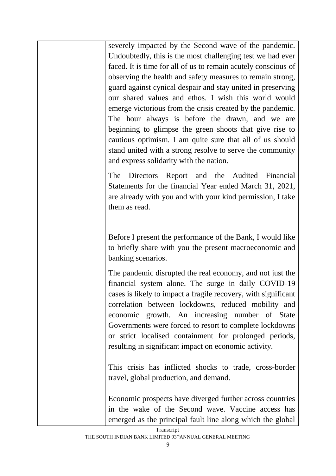severely impacted by the Second wave of the pandemic. Undoubtedly, this is the most challenging test we had ever faced. It is time for all of us to remain acutely conscious of observing the health and safety measures to remain strong, guard against cynical despair and stay united in preserving our shared values and ethos. I wish this world would emerge victorious from the crisis created by the pandemic. The hour always is before the drawn, and we are beginning to glimpse the green shoots that give rise to cautious optimism. I am quite sure that all of us should stand united with a strong resolve to serve the community and express solidarity with the nation.

The Directors Report and the Audited Financial Statements for the financial Year ended March 31, 2021, are already with you and with your kind permission, I take them as read.

Before I present the performance of the Bank, I would like to briefly share with you the present macroeconomic and banking scenarios.

The pandemic disrupted the real economy, and not just the financial system alone. The surge in daily COVID-19 cases is likely to impact a fragile recovery, with significant correlation between lockdowns, reduced mobility and economic growth. An increasing number of State Governments were forced to resort to complete lockdowns or strict localised containment for prolonged periods, resulting in significant impact on economic activity.

This crisis has inflicted shocks to trade, cross-border travel, global production, and demand.

Economic prospects have diverged further across countries in the wake of the Second wave. Vaccine access has emerged as the principal fault line along which the global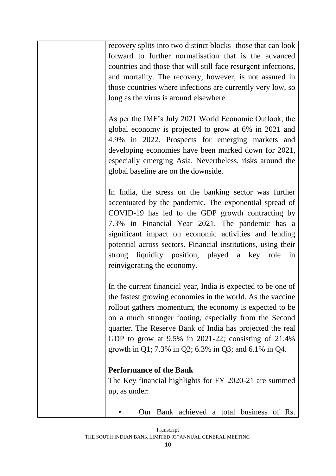recovery splits into two distinct blocks- those that can look forward to further normalisation that is the advanced countries and those that will still face resurgent infections, and mortality. The recovery, however, is not assured in those countries where infections are currently very low, so long as the virus is around elsewhere.

As per the IMF's July 2021 World Economic Outlook, the global economy is projected to grow at 6% in 2021 and 4.9% in 2022. Prospects for emerging markets and developing economies have been marked down for 2021, especially emerging Asia. Nevertheless, risks around the global baseline are on the downside.

In India, the stress on the banking sector was further accentuated by the pandemic. The exponential spread of COVID-19 has led to the GDP growth contracting by 7.3% in Financial Year 2021. The pandemic has a significant impact on economic activities and lending potential across sectors. Financial institutions, using their strong liquidity position, played a key role in reinvigorating the economy.

In the current financial year, India is expected to be one of the fastest growing economies in the world. As the vaccine rollout gathers momentum, the economy is expected to be on a much stronger footing, especially from the Second quarter. The Reserve Bank of India has projected the real GDP to grow at 9.5% in 2021-22; consisting of 21.4% growth in Q1; 7.3% in Q2; 6.3% in Q3; and 6.1% in Q4.

## **Performance of the Bank**

The Key financial highlights for FY 2020-21 are summed up, as under:

• Our Bank achieved a total business of Rs.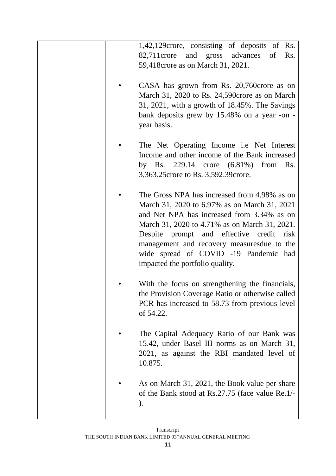|  | 1,42,129 crore, consisting of deposits of Rs.<br>82,711 crore and gross advances of<br>Rs.<br>59,418 crore as on March 31, 2021.                                                                                                                                                                                                                                  |
|--|-------------------------------------------------------------------------------------------------------------------------------------------------------------------------------------------------------------------------------------------------------------------------------------------------------------------------------------------------------------------|
|  | CASA has grown from Rs. 20,760 crore as on<br>March 31, 2020 to Rs. 24,590 crore as on March<br>31, 2021, with a growth of 18.45%. The Savings<br>bank deposits grew by 15.48% on a year -on -<br>year basis.                                                                                                                                                     |
|  | The Net Operating Income <i>i.e</i> Net Interest<br>Income and other income of the Bank increased<br>by Rs. 229.14 crore $(6.81\%)$<br>from<br>Rs.<br>3,363.25 crore to Rs. 3,592.39 crore.                                                                                                                                                                       |
|  | The Gross NPA has increased from 4.98% as on<br>March 31, 2020 to 6.97% as on March 31, 2021<br>and Net NPA has increased from 3.34% as on<br>March 31, 2020 to 4.71% as on March 31, 2021.<br>Despite prompt and effective credit risk<br>management and recovery measuresdue to the<br>wide spread of COVID -19 Pandemic had<br>impacted the portfolio quality. |
|  | With the focus on strengthening the financials,<br>the Provision Coverage Ratio or otherwise called<br>PCR has increased to 58.73 from previous level<br>of 54.22.                                                                                                                                                                                                |
|  | The Capital Adequacy Ratio of our Bank was<br>15.42, under Basel III norms as on March 31,<br>2021, as against the RBI mandated level of<br>10.875.                                                                                                                                                                                                               |
|  | As on March 31, 2021, the Book value per share<br>of the Bank stood at Rs.27.75 (face value Re.1/-<br>$\mathcal{L}$                                                                                                                                                                                                                                               |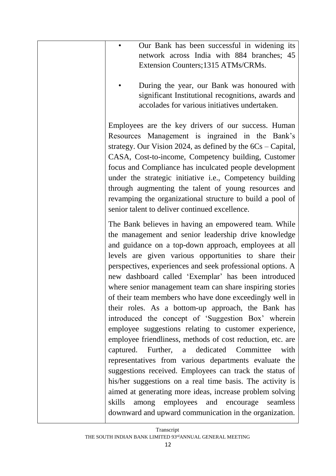| Our Bank has been successful in widening its                                                                                                                                                                                                                                                                                                                                                                                                                                                                                                                                                                                                                                                                                                                                                                                                                                                                                                                                                                                                                                                                                    |
|---------------------------------------------------------------------------------------------------------------------------------------------------------------------------------------------------------------------------------------------------------------------------------------------------------------------------------------------------------------------------------------------------------------------------------------------------------------------------------------------------------------------------------------------------------------------------------------------------------------------------------------------------------------------------------------------------------------------------------------------------------------------------------------------------------------------------------------------------------------------------------------------------------------------------------------------------------------------------------------------------------------------------------------------------------------------------------------------------------------------------------|
| network across India with 884 branches; 45<br>Extension Counters; 1315 ATMs/CRMs.                                                                                                                                                                                                                                                                                                                                                                                                                                                                                                                                                                                                                                                                                                                                                                                                                                                                                                                                                                                                                                               |
| During the year, our Bank was honoured with<br>significant Institutional recognitions, awards and<br>accolades for various initiatives undertaken.                                                                                                                                                                                                                                                                                                                                                                                                                                                                                                                                                                                                                                                                                                                                                                                                                                                                                                                                                                              |
| Employees are the key drivers of our success. Human<br>Resources Management is ingrained in the Bank's<br>strategy. Our Vision 2024, as defined by the $6Cs$ – Capital,<br>CASA, Cost-to-income, Competency building, Customer<br>focus and Compliance has inculcated people development<br>under the strategic initiative i.e., Competency building<br>through augmenting the talent of young resources and<br>revamping the organizational structure to build a pool of<br>senior talent to deliver continued excellence.                                                                                                                                                                                                                                                                                                                                                                                                                                                                                                                                                                                                     |
| The Bank believes in having an empowered team. While<br>the management and senior leadership drive knowledge<br>and guidance on a top-down approach, employees at all<br>levels are given various opportunities to share their<br>perspectives, experiences and seek professional options. A<br>new dashboard called 'Exemplar' has been introduced<br>where senior management team can share inspiring stories<br>of their team members who have done exceedingly well in<br>their roles. As a bottom-up approach, the Bank has<br>introduced the concept of 'Suggestion Box' wherein<br>employee suggestions relating to customer experience,<br>employee friendliness, methods of cost reduction, etc. are<br>captured. Further, a dedicated Committee<br>with<br>representatives from various departments evaluate the<br>suggestions received. Employees can track the status of<br>his/her suggestions on a real time basis. The activity is<br>aimed at generating more ideas, increase problem solving<br>among employees and encourage<br>skills<br>seamless<br>downward and upward communication in the organization. |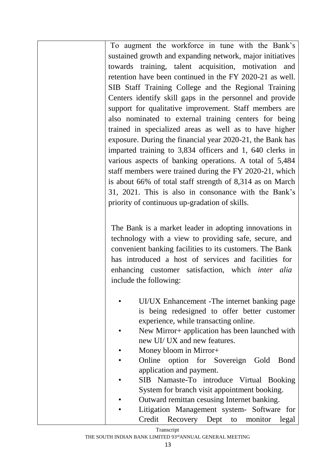To augment the workforce in tune with the Bank's sustained growth and expanding network, major initiatives towards training, talent acquisition, motivation and retention have been continued in the FY 2020-21 as well. SIB Staff Training College and the Regional Training Centers identify skill gaps in the personnel and provide support for qualitative improvement. Staff members are also nominated to external training centers for being trained in specialized areas as well as to have higher exposure. During the financial year 2020-21, the Bank has imparted training to 3,834 officers and 1, 640 clerks in various aspects of banking operations. A total of 5,484 staff members were trained during the FY 2020-21, which is about 66% of total staff strength of 8,314 as on March 31, 2021. This is also in consonance with the Bank's priority of continuous up-gradation of skills.

The Bank is a market leader in adopting innovations in technology with a view to providing safe, secure, and convenient banking facilities to its customers. The Bank has introduced a host of services and facilities for enhancing customer satisfaction, which *inter alia*  include the following:

- UI/UX Enhancement -The internet banking page is being redesigned to offer better customer experience, while transacting online.
- New Mirror+ application has been launched with new UI/ UX and new features.
- Money bloom in Mirror+
- Online option for Sovereign Gold Bond application and payment.
- SIB Namaste-To introduce Virtual Booking System for branch visit appointment booking.
- Outward remittan cesusing Internet banking.
- Litigation Management system- Software for Credit Recovery Dept to monitor legal

Transcript

THE SOUTH INDIAN BANK LIMITED 93rdANNUAL GENERAL MEETING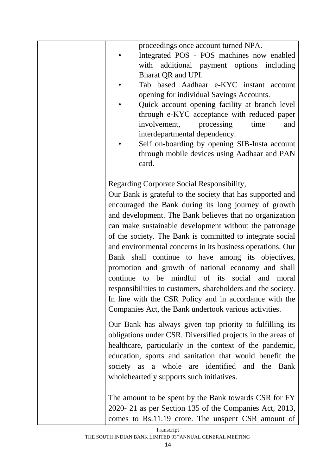| proceedings once account turned NPA.<br>Integrated POS - POS machines now enabled<br>with additional payment options including<br>Bharat QR and UPI.<br>Tab based Aadhaar e-KYC instant account<br>opening for individual Savings Accounts.<br>Quick account opening facility at branch level<br>through e-KYC acceptance with reduced paper<br>processing<br>time<br>and<br>involvement,<br>interdepartmental dependency.<br>Self on-boarding by opening SIB-Insta account<br>through mobile devices using Aadhaar and PAN<br>card.                                                                                                                                                                                                                              |
|-------------------------------------------------------------------------------------------------------------------------------------------------------------------------------------------------------------------------------------------------------------------------------------------------------------------------------------------------------------------------------------------------------------------------------------------------------------------------------------------------------------------------------------------------------------------------------------------------------------------------------------------------------------------------------------------------------------------------------------------------------------------|
| Regarding Corporate Social Responsibility,<br>Our Bank is grateful to the society that has supported and<br>encouraged the Bank during its long journey of growth<br>and development. The Bank believes that no organization<br>can make sustainable development without the patronage<br>of the society. The Bank is committed to integrate social<br>and environmental concerns in its business operations. Our<br>Bank shall continue to have among its objectives,<br>promotion and growth of national economy and shall<br>continue to be mindful of its social and moral<br>responsibilities to customers, shareholders and the society.<br>In line with the CSR Policy and in accordance with the<br>Companies Act, the Bank undertook various activities. |
| Our Bank has always given top priority to fulfilling its<br>obligations under CSR. Diversified projects in the areas of<br>healthcare, particularly in the context of the pandemic,<br>education, sports and sanitation that would benefit the<br>society as a whole are identified and the Bank<br>wholeheartedly supports such initiatives.                                                                                                                                                                                                                                                                                                                                                                                                                     |
| The amount to be spent by the Bank towards CSR for FY<br>2020-21 as per Section 135 of the Companies Act, 2013,<br>comes to Rs.11.19 crore. The unspent CSR amount of                                                                                                                                                                                                                                                                                                                                                                                                                                                                                                                                                                                             |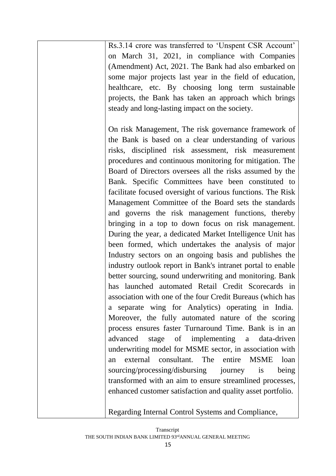Rs.3.14 crore was transferred to 'Unspent CSR Account' on March 31, 2021, in compliance with Companies (Amendment) Act, 2021. The Bank had also embarked on some major projects last year in the field of education, healthcare, etc. By choosing long term sustainable projects, the Bank has taken an approach which brings steady and long-lasting impact on the society.

On risk Management, The risk governance framework of the Bank is based on a clear understanding of various risks, disciplined risk assessment, risk measurement procedures and continuous monitoring for mitigation. The Board of Directors oversees all the risks assumed by the Bank. Specific Committees have been constituted to facilitate focused oversight of various functions. The Risk Management Committee of the Board sets the standards and governs the risk management functions, thereby bringing in a top to down focus on risk management. During the year, a dedicated Market Intelligence Unit has been formed, which undertakes the analysis of major Industry sectors on an ongoing basis and publishes the industry outlook report in Bank's intranet portal to enable better sourcing, sound underwriting and monitoring. Bank has launched automated Retail Credit Scorecards in association with one of the four Credit Bureaus (which has a separate wing for Analytics) operating in India. Moreover, the fully automated nature of the scoring process ensures faster Turnaround Time. Bank is in an advanced stage of implementing a data-driven underwriting model for MSME sector, in association with an external consultant. The entire MSME loan sourcing/processing/disbursing journey is being transformed with an aim to ensure streamlined processes, enhanced customer satisfaction and quality asset portfolio.

Regarding Internal Control Systems and Compliance,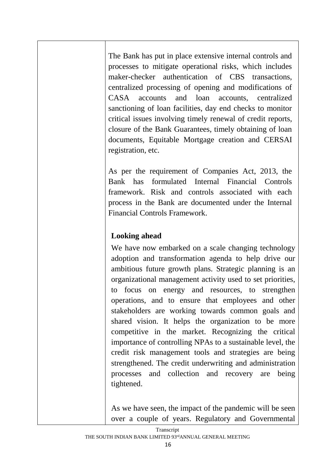The Bank has put in place extensive internal controls and processes to mitigate operational risks, which includes maker-checker authentication of CBS transactions, centralized processing of opening and modifications of CASA accounts and loan accounts, centralized sanctioning of loan facilities, day end checks to monitor critical issues involving timely renewal of credit reports, closure of the Bank Guarantees, timely obtaining of loan documents, Equitable Mortgage creation and CERSAI registration, etc.

As per the requirement of Companies Act, 2013, the Bank has formulated Internal Financial Controls framework. Risk and controls associated with each process in the Bank are documented under the Internal Financial Controls Framework.

## **Looking ahead**

We have now embarked on a scale changing technology adoption and transformation agenda to help drive our ambitious future growth plans. Strategic planning is an organizational management activity used to set priorities, to focus on energy and resources, to strengthen operations, and to ensure that employees and other stakeholders are working towards common goals and shared vision. It helps the organization to be more competitive in the market. Recognizing the critical importance of controlling NPAs to a sustainable level, the credit risk management tools and strategies are being strengthened. The credit underwriting and administration processes and collection and recovery are being tightened.

As we have seen, the impact of the pandemic will be seen over a couple of years. Regulatory and Governmental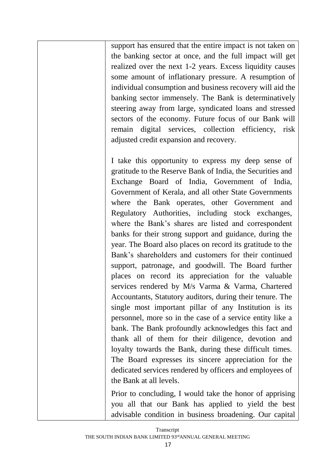support has ensured that the entire impact is not taken on the banking sector at once, and the full impact will get realized over the next 1-2 years. Excess liquidity causes some amount of inflationary pressure. A resumption of individual consumption and business recovery will aid the banking sector immensely. The Bank is determinatively steering away from large, syndicated loans and stressed sectors of the economy. Future focus of our Bank will remain digital services, collection efficiency, risk adjusted credit expansion and recovery.

I take this opportunity to express my deep sense of gratitude to the Reserve Bank of India, the Securities and Exchange Board of India, Government of India, Government of Kerala, and all other State Governments where the Bank operates, other Government and Regulatory Authorities, including stock exchanges, where the Bank's shares are listed and correspondent banks for their strong support and guidance, during the year. The Board also places on record its gratitude to the Bank's shareholders and customers for their continued support, patronage, and goodwill. The Board further places on record its appreciation for the valuable services rendered by M/s Varma & Varma, Chartered Accountants, Statutory auditors, during their tenure. The single most important pillar of any Institution is its personnel, more so in the case of a service entity like a bank. The Bank profoundly acknowledges this fact and thank all of them for their diligence, devotion and loyalty towards the Bank, during these difficult times. The Board expresses its sincere appreciation for the dedicated services rendered by officers and employees of the Bank at all levels.

Prior to concluding, I would take the honor of apprising you all that our Bank has applied to yield the best advisable condition in business broadening. Our capital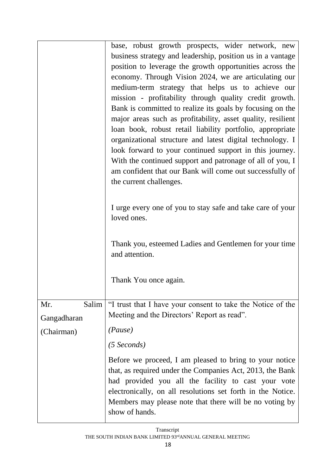|                           | base, robust growth prospects, wider network, new<br>business strategy and leadership, position us in a vantage<br>position to leverage the growth opportunities across the<br>economy. Through Vision 2024, we are articulating our<br>medium-term strategy that helps us to achieve our<br>mission - profitability through quality credit growth.<br>Bank is committed to realize its goals by focusing on the<br>major areas such as profitability, asset quality, resilient<br>loan book, robust retail liability portfolio, appropriate<br>organizational structure and latest digital technology. I<br>look forward to your continued support in this journey.<br>With the continued support and patronage of all of you, I<br>am confident that our Bank will come out successfully of<br>the current challenges.<br>I urge every one of you to stay safe and take care of your<br>loved ones.<br>Thank you, esteemed Ladies and Gentlemen for your time<br>and attention.<br>Thank You once again. |
|---------------------------|------------------------------------------------------------------------------------------------------------------------------------------------------------------------------------------------------------------------------------------------------------------------------------------------------------------------------------------------------------------------------------------------------------------------------------------------------------------------------------------------------------------------------------------------------------------------------------------------------------------------------------------------------------------------------------------------------------------------------------------------------------------------------------------------------------------------------------------------------------------------------------------------------------------------------------------------------------------------------------------------------------|
| Mr.<br>Salim              | "I trust that I have your consent to take the Notice of the<br>Meeting and the Directors' Report as read".                                                                                                                                                                                                                                                                                                                                                                                                                                                                                                                                                                                                                                                                                                                                                                                                                                                                                                 |
| Gangadharan<br>(Chairman) | (Pause)                                                                                                                                                                                                                                                                                                                                                                                                                                                                                                                                                                                                                                                                                                                                                                                                                                                                                                                                                                                                    |
|                           | $(5$ Seconds)                                                                                                                                                                                                                                                                                                                                                                                                                                                                                                                                                                                                                                                                                                                                                                                                                                                                                                                                                                                              |
|                           | Before we proceed, I am pleased to bring to your notice<br>that, as required under the Companies Act, 2013, the Bank<br>had provided you all the facility to cast your vote<br>electronically, on all resolutions set forth in the Notice.<br>Members may please note that there will be no voting by<br>show of hands.                                                                                                                                                                                                                                                                                                                                                                                                                                                                                                                                                                                                                                                                                    |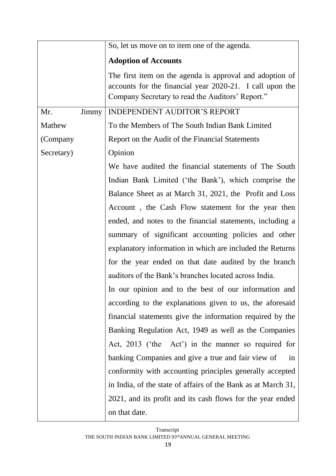|              | So, let us move on to item one of the agenda.                                                                                                                            |
|--------------|--------------------------------------------------------------------------------------------------------------------------------------------------------------------------|
|              | <b>Adoption of Accounts</b>                                                                                                                                              |
|              | The first item on the agenda is approval and adoption of<br>accounts for the financial year 2020-21. I call upon the<br>Company Secretary to read the Auditors' Report." |
| Mr.<br>Jimmy | <b>INDEPENDENT AUDITOR'S REPORT</b>                                                                                                                                      |
| Mathew       | To the Members of The South Indian Bank Limited                                                                                                                          |
| (Company     | Report on the Audit of the Financial Statements                                                                                                                          |
| Secretary)   | Opinion                                                                                                                                                                  |
|              | We have audited the financial statements of The South                                                                                                                    |
|              | Indian Bank Limited ('the Bank'), which comprise the                                                                                                                     |
|              | Balance Sheet as at March 31, 2021, the Profit and Loss                                                                                                                  |
|              | Account, the Cash Flow statement for the year then                                                                                                                       |
|              | ended, and notes to the financial statements, including a                                                                                                                |
|              | summary of significant accounting policies and other                                                                                                                     |
|              | explanatory information in which are included the Returns                                                                                                                |
|              | for the year ended on that date audited by the branch                                                                                                                    |
|              | auditors of the Bank's branches located across India.                                                                                                                    |
|              | In our opinion and to the best of our information and                                                                                                                    |
|              | according to the explanations given to us, the aforesaid                                                                                                                 |
|              | financial statements give the information required by the                                                                                                                |
|              | Banking Regulation Act, 1949 as well as the Companies                                                                                                                    |
|              | Act, 2013 ('the Act') in the manner so required for                                                                                                                      |
|              | banking Companies and give a true and fair view of<br>in                                                                                                                 |
|              | conformity with accounting principles generally accepted                                                                                                                 |
|              | in India, of the state of affairs of the Bank as at March 31,                                                                                                            |
|              | 2021, and its profit and its cash flows for the year ended                                                                                                               |
|              | on that date.                                                                                                                                                            |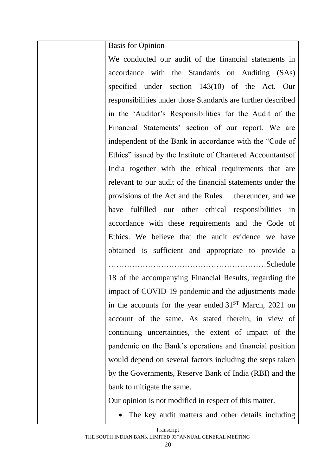Basis for Opinion

We conducted our audit of the financial statements in accordance with the Standards on Auditing (SAs) specified under section 143(10) of the Act. Our responsibilities under those Standards are further described in the 'Auditor's Responsibilities for the Audit of the Financial Statements' section of our report. We are independent of the Bank in accordance with the "Code of Ethics" issued by the Institute of Chartered Accountantsof India together with the ethical requirements that are relevant to our audit of the financial statements under the provisions of the Act and the Rules thereunder, and we have fulfilled our other ethical responsibilities in accordance with these requirements and the Code of Ethics. We believe that the audit evidence we have obtained is sufficient and appropriate to provide a ……………………………………………………Schedule

18 of the accompanying Financial Results, regarding the impact of COVID-19 pandemic and the adjustments made in the accounts for the year ended  $31<sup>ST</sup>$  March, 2021 on account of the same. As stated therein, in view of continuing uncertainties, the extent of impact of the pandemic on the Bank's operations and financial position would depend on several factors including the steps taken by the Governments, Reserve Bank of India (RBI) and the bank to mitigate the same.

Our opinion is not modified in respect of this matter.

• The key audit matters and other details including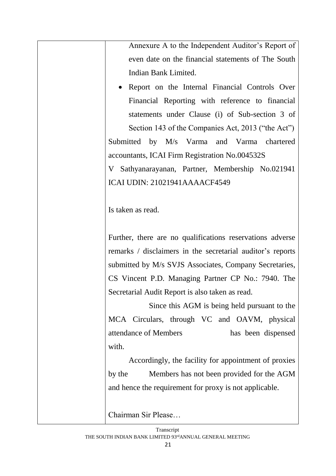Annexure A to the Independent Auditor's Report of even date on the financial statements of The South Indian Bank Limited.

• Report on the Internal Financial Controls Over Financial Reporting with reference to financial statements under Clause (i) of Sub-section 3 of Section 143 of the Companies Act, 2013 ("the Act")

Submitted by M/s Varma and Varma chartered accountants, ICAI Firm Registration No.004532S

V Sathyanarayanan, Partner, Membership No.021941 ICAI UDIN: 21021941AAAACF4549

Is taken as read.

Further, there are no qualifications reservations adverse remarks / disclaimers in the secretarial auditor's reports submitted by M/s SVJS Associates, Company Secretaries, CS Vincent P.D. Managing Partner CP No.: 7940. The Secretarial Audit Report is also taken as read.

Since this AGM is being held pursuant to the MCA Circulars, through VC and OAVM, physical attendance of Members has been dispensed with.

Accordingly, the facility for appointment of proxies by the Members has not been provided for the AGM and hence the requirement for proxy is not applicable.

Chairman Sir Please…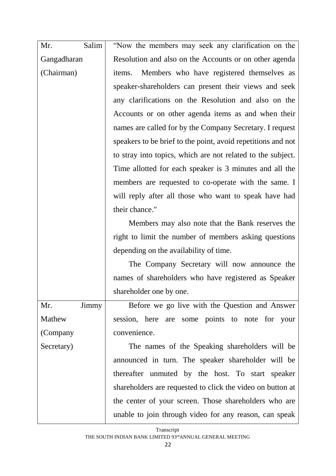| Mr.<br>Salim | "Now the members may seek any clarification on the           |
|--------------|--------------------------------------------------------------|
| Gangadharan  | Resolution and also on the Accounts or on other agenda       |
| (Chairman)   | Members who have registered themselves as<br>items.          |
|              | speaker-shareholders can present their views and seek        |
|              | any clarifications on the Resolution and also on the         |
|              | Accounts or on other agenda items as and when their          |
|              | names are called for by the Company Secretary. I request     |
|              | speakers to be brief to the point, avoid repetitions and not |
|              | to stray into topics, which are not related to the subject.  |
|              | Time allotted for each speaker is 3 minutes and all the      |
|              | members are requested to co-operate with the same. I         |
|              | will reply after all those who want to speak have had        |
|              | their chance."                                               |
|              | Members may also note that the Bank reserves the             |
|              | right to limit the number of members asking questions        |
|              | depending on the availability of time.                       |
|              | The Company Secretary will now announce the                  |
|              | names of shareholders who have registered as Speaker         |
|              | shareholder one by one.                                      |
| Mr.<br>Jimmy | Before we go live with the Question and Answer               |
| Mathew       | session, here are some points to note for your               |
| (Company     | convenience.                                                 |
| Secretary)   | The names of the Speaking shareholders will be               |
|              | announced in turn. The speaker shareholder will be           |
|              | thereafter unmuted by the host. To start speaker             |
|              | shareholders are requested to click the video on button at   |
|              | the center of your screen. Those shareholders who are        |
|              | unable to join through video for any reason, can speak       |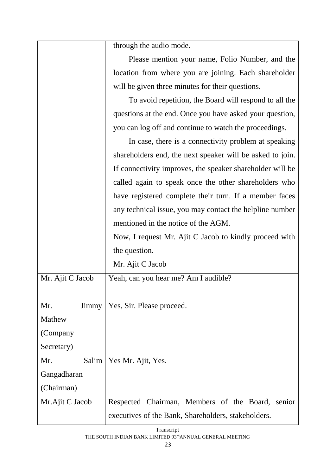|                  | through the audio mode.                                   |
|------------------|-----------------------------------------------------------|
|                  | Please mention your name, Folio Number, and the           |
|                  | location from where you are joining. Each shareholder     |
|                  | will be given three minutes for their questions.          |
|                  | To avoid repetition, the Board will respond to all the    |
|                  | questions at the end. Once you have asked your question,  |
|                  | you can log off and continue to watch the proceedings.    |
|                  | In case, there is a connectivity problem at speaking      |
|                  | shareholders end, the next speaker will be asked to join. |
|                  | If connectivity improves, the speaker shareholder will be |
|                  | called again to speak once the other shareholders who     |
|                  | have registered complete their turn. If a member faces    |
|                  | any technical issue, you may contact the helpline number  |
|                  | mentioned in the notice of the AGM.                       |
|                  | Now, I request Mr. Ajit C Jacob to kindly proceed with    |
|                  | the question.                                             |
|                  | Mr. Ajit C Jacob                                          |
| Mr. Ajit C Jacob | Yeah, can you hear me? Am I audible?                      |
|                  |                                                           |
| Mr.<br>Jimmy     | Yes, Sir. Please proceed.                                 |
| Mathew           |                                                           |
| (Company         |                                                           |
| Secretary)       |                                                           |
| Salim<br>Mr.     | Yes Mr. Ajit, Yes.                                        |
| Gangadharan      |                                                           |
| (Chairman)       |                                                           |
| Mr.Ajit C Jacob  | Respected Chairman, Members of the Board,<br>senior       |
|                  | executives of the Bank, Shareholders, stakeholders.       |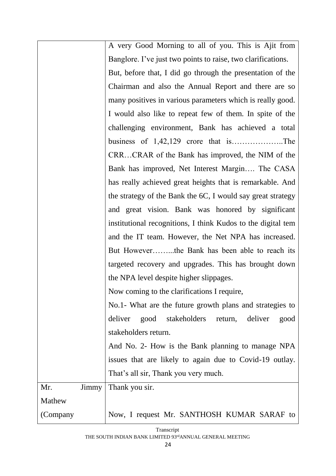|          |       | A very Good Morning to all of you. This is Ajit from          |
|----------|-------|---------------------------------------------------------------|
|          |       | Banglore. I've just two points to raise, two clarifications.  |
|          |       | But, before that, I did go through the presentation of the    |
|          |       | Chairman and also the Annual Report and there are so          |
|          |       | many positives in various parameters which is really good.    |
|          |       | I would also like to repeat few of them. In spite of the      |
|          |       | challenging environment, Bank has achieved a total            |
|          |       |                                                               |
|          |       | CRRCRAR of the Bank has improved, the NIM of the              |
|          |       | Bank has improved, Net Interest Margin The CASA               |
|          |       | has really achieved great heights that is remarkable. And     |
|          |       | the strategy of the Bank the 6C, I would say great strategy   |
|          |       | and great vision. Bank was honored by significant             |
|          |       | institutional recognitions, I think Kudos to the digital tem  |
|          |       | and the IT team. However, the Net NPA has increased.          |
|          |       | But Howeverthe Bank has been able to reach its                |
|          |       | targeted recovery and upgrades. This has brought down         |
|          |       | the NPA level despite higher slippages.                       |
|          |       | Now coming to the clarifications I require,                   |
|          |       | No.1- What are the future growth plans and strategies to      |
|          |       | good<br>deliver<br>stakeholders<br>deliver<br>return,<br>good |
|          |       | stakeholders return.                                          |
|          |       | And No. 2- How is the Bank planning to manage NPA             |
|          |       | issues that are likely to again due to Covid-19 outlay.       |
|          |       | That's all sir, Thank you very much.                          |
| Mr.      | Jimmy | Thank you sir.                                                |
| Mathew   |       |                                                               |
| (Company |       | Now, I request Mr. SANTHOSH KUMAR SARAF to                    |
|          |       |                                                               |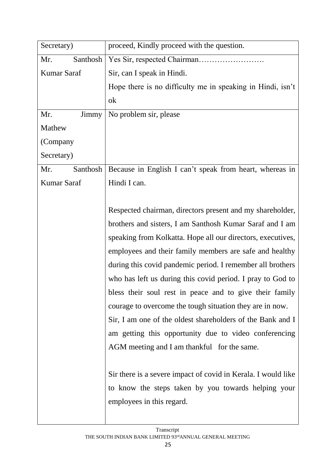| Secretary)         | proceed, Kindly proceed with the question.                    |
|--------------------|---------------------------------------------------------------|
| Santhosh<br>Mr.    |                                                               |
| Kumar Saraf        | Sir, can I speak in Hindi.                                    |
|                    | Hope there is no difficulty me in speaking in Hindi, isn't    |
|                    | ok                                                            |
| Mr.<br>Jimmy       | No problem sir, please                                        |
| Mathew             |                                                               |
| (Company           |                                                               |
| Secretary)         |                                                               |
| Mr.<br>Santhosh    | Because in English I can't speak from heart, whereas in       |
| <b>Kumar Saraf</b> | Hindi I can.                                                  |
|                    |                                                               |
|                    | Respected chairman, directors present and my shareholder,     |
|                    | brothers and sisters, I am Santhosh Kumar Saraf and I am      |
|                    | speaking from Kolkatta. Hope all our directors, executives,   |
|                    | employees and their family members are safe and healthy       |
|                    | during this covid pandemic period. I remember all brothers    |
|                    | who has left us during this covid period. I pray to God to    |
|                    | bless their soul rest in peace and to give their family       |
|                    | courage to overcome the tough situation they are in now.      |
|                    | Sir, I am one of the oldest shareholders of the Bank and I    |
|                    | am getting this opportunity due to video conferencing         |
|                    | AGM meeting and I am thankful for the same.                   |
|                    |                                                               |
|                    | Sir there is a severe impact of covid in Kerala. I would like |
|                    | to know the steps taken by you towards helping your           |
|                    | employees in this regard.                                     |
|                    |                                                               |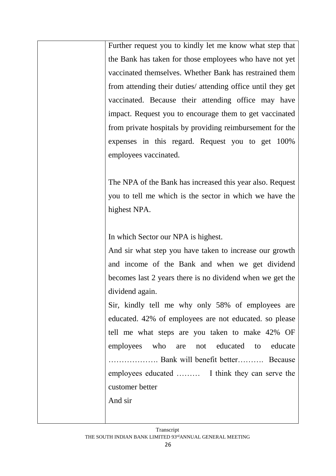Further request you to kindly let me know what step that the Bank has taken for those employees who have not yet vaccinated themselves. Whether Bank has restrained them from attending their duties/ attending office until they get vaccinated. Because their attending office may have impact. Request you to encourage them to get vaccinated from private hospitals by providing reimbursement for the expenses in this regard. Request you to get 100% employees vaccinated.

The NPA of the Bank has increased this year also. Request you to tell me which is the sector in which we have the highest NPA.

In which Sector our NPA is highest.

And sir what step you have taken to increase our growth and income of the Bank and when we get dividend becomes last 2 years there is no dividend when we get the dividend again.

Sir, kindly tell me why only 58% of employees are educated. 42% of employees are not educated. so please tell me what steps are you taken to make 42% OF employees who are not educated to educate ………………. Bank will benefit better………. Because employees educated ……… I think they can serve the customer better

And sir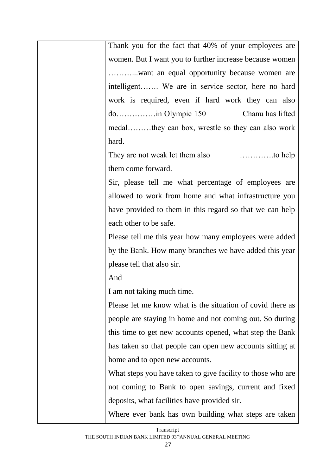Thank you for the fact that 40% of your employees are women. But I want you to further increase because women ………...want an equal opportunity because women are intelligent……. We are in service sector, here no hard work is required, even if hard work they can also do……………in Olympic 150 Chanu has lifted medal………they can box, wrestle so they can also work hard.

They are not weak let them also ………….to help them come forward.

Sir, please tell me what percentage of employees are allowed to work from home and what infrastructure you have provided to them in this regard so that we can help each other to be safe.

Please tell me this year how many employees were added by the Bank. How many branches we have added this year please tell that also sir.

And

I am not taking much time.

Please let me know what is the situation of covid there as people are staying in home and not coming out. So during this time to get new accounts opened, what step the Bank has taken so that people can open new accounts sitting at home and to open new accounts.

What steps you have taken to give facility to those who are not coming to Bank to open savings, current and fixed deposits, what facilities have provided sir.

Where ever bank has own building what steps are taken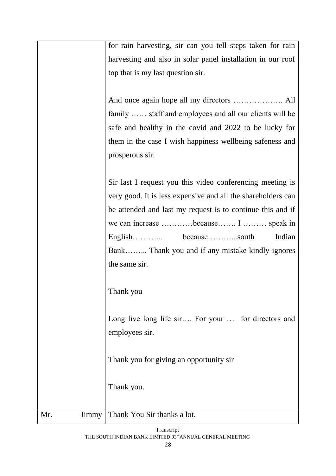|              | for rain harvesting, sir can you tell steps taken for rain   |
|--------------|--------------------------------------------------------------|
|              | harvesting and also in solar panel installation in our roof  |
|              | top that is my last question sir.                            |
|              |                                                              |
|              |                                                              |
|              | family  staff and employees and all our clients will be      |
|              | safe and healthy in the covid and 2022 to be lucky for       |
|              | them in the case I wish happiness wellbeing safeness and     |
|              | prosperous sir.                                              |
|              |                                                              |
|              | Sir last I request you this video conferencing meeting is    |
|              | very good. It is less expensive and all the shareholders can |
|              | be attended and last my request is to continue this and if   |
|              | we can increase because I  speak in                          |
|              | Indian                                                       |
|              | Bank Thank you and if any mistake kindly ignores             |
|              | the same sir.                                                |
|              |                                                              |
|              |                                                              |
|              | Thank you                                                    |
|              |                                                              |
|              | Long live long life sir For your  for directors and          |
|              | employees sir.                                               |
|              |                                                              |
|              | Thank you for giving an opportunity sir                      |
|              |                                                              |
|              | Thank you.                                                   |
|              |                                                              |
| Mr.<br>Jimmy | Thank You Sir thanks a lot.                                  |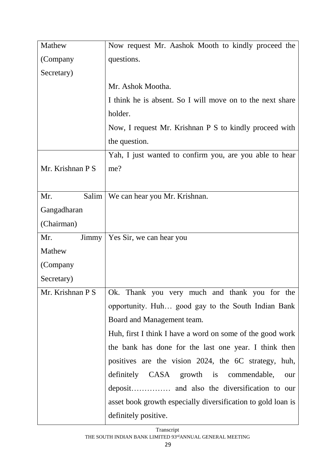| Mathew           | Now request Mr. Aashok Mooth to kindly proceed the           |
|------------------|--------------------------------------------------------------|
| (Company         | questions.                                                   |
| Secretary)       |                                                              |
|                  | Mr. Ashok Mootha.                                            |
|                  | I think he is absent. So I will move on to the next share    |
|                  | holder.                                                      |
|                  | Now, I request Mr. Krishnan P S to kindly proceed with       |
|                  | the question.                                                |
|                  | Yah, I just wanted to confirm you, are you able to hear      |
| Mr. Krishnan P S | me?                                                          |
|                  |                                                              |
| Mr.<br>Salim     | We can hear you Mr. Krishnan.                                |
| Gangadharan      |                                                              |
| (Chairman)       |                                                              |
| Mr.<br>Jimmy     | Yes Sir, we can hear you                                     |
|                  |                                                              |
| Mathew           |                                                              |
| (Company         |                                                              |
| Secretary)       |                                                              |
| Mr. Krishnan P S | Ok. Thank you very much and thank you for the                |
|                  | opportunity. Huh good gay to the South Indian Bank           |
|                  | Board and Management team.                                   |
|                  | Huh, first I think I have a word on some of the good work    |
|                  | the bank has done for the last one year. I think then        |
|                  | positives are the vision 2024, the 6C strategy, huh,         |
|                  | definitely CASA growth is commendable,<br>our                |
|                  |                                                              |
|                  | asset book growth especially diversification to gold loan is |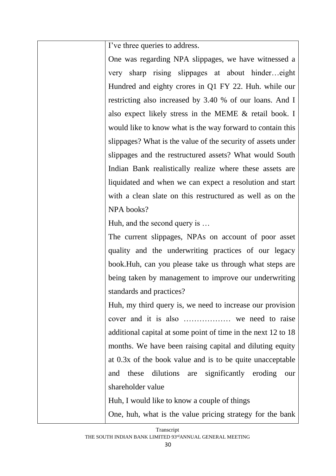I've three queries to address.

One was regarding NPA slippages, we have witnessed a very sharp rising slippages at about hinder…eight Hundred and eighty crores in Q1 FY 22. Huh. while our restricting also increased by 3.40 % of our loans. And I also expect likely stress in the MEME & retail book. I would like to know what is the way forward to contain this slippages? What is the value of the security of assets under slippages and the restructured assets? What would South Indian Bank realistically realize where these assets are liquidated and when we can expect a resolution and start with a clean slate on this restructured as well as on the NPA books?

Huh, and the second query is …

The current slippages, NPAs on account of poor asset quality and the underwriting practices of our legacy book.Huh, can you please take us through what steps are being taken by management to improve our underwriting standards and practices?

Huh, my third query is, we need to increase our provision cover and it is also ……………… we need to raise additional capital at some point of time in the next 12 to 18 months. We have been raising capital and diluting equity at 0.3x of the book value and is to be quite unacceptable and these dilutions are significantly eroding our shareholder value

Huh, I would like to know a couple of things

One, huh, what is the value pricing strategy for the bank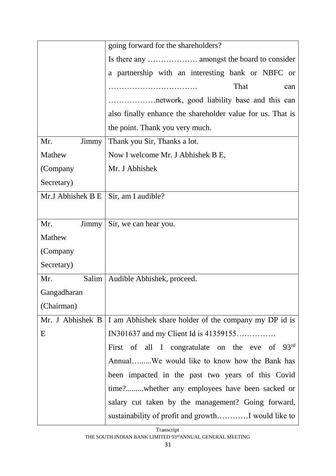|                   | going forward for the shareholders?                        |
|-------------------|------------------------------------------------------------|
|                   |                                                            |
|                   | a partnership with an interesting bank or NBFC or          |
|                   | That<br>can                                                |
|                   | network, good liability base and this can                  |
|                   | also finally enhance the shareholder value for us. That is |
|                   | the point. Thank you very much.                            |
| Mr.<br>Jimmy      | Thank you Sir, Thanks a lot.                               |
| Mathew            | Now I welcome Mr. J Abhishek B E,                          |
| (Company          | Mr. J Abhishek                                             |
| Secretary)        |                                                            |
| Mr.J Abhishek B E | Sir, am I audible?                                         |
|                   |                                                            |
| Mr.<br>Jimmy      | Sir, we can hear you.                                      |
| Mathew            |                                                            |
| (Company          |                                                            |
| Secretary)        |                                                            |
| Salim<br>Mr.      | Audible Abhishek, proceed.                                 |
| Gangadharan       |                                                            |
| (Chairman)        |                                                            |
| Mr. J Abhishek B  | I am Abhishek share holder of the company my DP id is      |
| E                 | IN301637 and my Client Id is 41359155                      |
|                   | First of all I congratulate on the eve of 93rd             |
|                   | AnnualWe would like to know how the Bank has               |
|                   | been impacted in the past two years of this Covid          |
|                   | time?whether any employees have been sacked or             |
|                   | salary cut taken by the management? Going forward,         |
|                   |                                                            |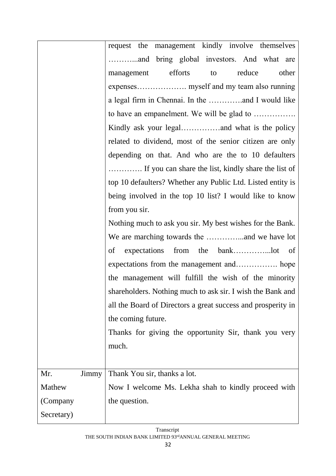|              | request the management kindly involve themselves             |
|--------------|--------------------------------------------------------------|
|              |                                                              |
|              | efforts<br>reduce<br>other<br>to<br>management               |
|              |                                                              |
|              | a legal firm in Chennai. In the and I would like             |
|              | to have an empanelment. We will be glad to                   |
|              |                                                              |
|              | related to dividend, most of the senior citizen are only     |
|              | depending on that. And who are the to 10 defaulters          |
|              | If you can share the list, kindly share the list of          |
|              | top 10 defaulters? Whether any Public Ltd. Listed entity is  |
|              | being involved in the top 10 list? I would like to know      |
|              | from you sir.                                                |
|              | Nothing much to ask you sir. My best wishes for the Bank.    |
|              |                                                              |
|              | of                                                           |
|              |                                                              |
|              | the management will fulfill the wish of the minority         |
|              | shareholders. Nothing much to ask sir. I wish the Bank and   |
|              | all the Board of Directors a great success and prosperity in |
|              | the coming future.                                           |
|              | Thanks for giving the opportunity Sir, thank you very        |
|              | much.                                                        |
|              |                                                              |
| Mr.<br>Jimmy | Thank You sir, thanks a lot.                                 |
| Mathew       | Now I welcome Ms. Lekha shah to kindly proceed with          |
| (Company     | the question.                                                |
| Secretary)   |                                                              |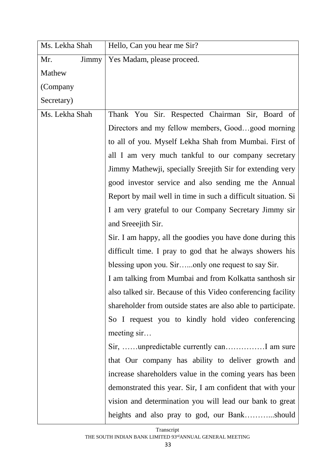| Ms. Lekha Shah | Hello, Can you hear me Sir?                                   |
|----------------|---------------------------------------------------------------|
| Mr.<br>Jimmy   | Yes Madam, please proceed.                                    |
| Mathew         |                                                               |
| (Company       |                                                               |
| Secretary)     |                                                               |
| Ms. Lekha Shah | Thank You Sir. Respected Chairman Sir, Board of               |
|                | Directors and my fellow members, Goodgood morning             |
|                | to all of you. Myself Lekha Shah from Mumbai. First of        |
|                | all I am very much tankful to our company secretary           |
|                | Jimmy Mathewji, specially Sreejith Sir for extending very     |
|                | good investor service and also sending me the Annual          |
|                | Report by mail well in time in such a difficult situation. Si |
|                | I am very grateful to our Company Secretary Jimmy sir         |
|                | and Sreeejith Sir.                                            |
|                | Sir. I am happy, all the goodies you have done during this    |
|                | difficult time. I pray to god that he always showers his      |
|                | blessing upon you. Sironly one request to say Sir.            |
|                | I am talking from Mumbai and from Kolkatta santhosh sir       |
|                | also talked sir. Because of this Video conferencing facility  |
|                | shareholder from outside states are also able to participate. |
|                | So I request you to kindly hold video conferencing            |
|                | meeting sir                                                   |
|                | Sir, unpredictable currently can I am sure                    |
|                | that Our company has ability to deliver growth and            |
|                | increase shareholders value in the coming years has been      |
|                | demonstrated this year. Sir, I am confident that with your    |
|                | vision and determination you will lead our bank to great      |
|                | heights and also pray to god, our Bankshould                  |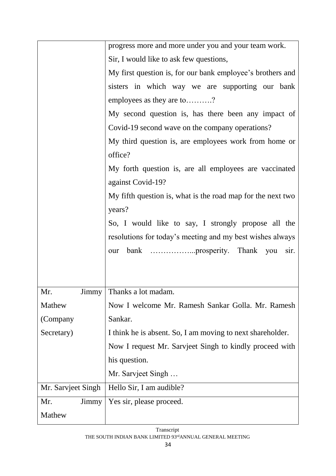|                    | progress more and more under you and your team work.        |
|--------------------|-------------------------------------------------------------|
|                    | Sir, I would like to ask few questions,                     |
|                    | My first question is, for our bank employee's brothers and  |
|                    | sisters in which way we are supporting our bank             |
|                    | employees as they are to?                                   |
|                    | My second question is, has there been any impact of         |
|                    | Covid-19 second wave on the company operations?             |
|                    | My third question is, are employees work from home or       |
|                    | office?                                                     |
|                    | My forth question is, are all employees are vaccinated      |
|                    | against Covid-19?                                           |
|                    | My fifth question is, what is the road map for the next two |
|                    | years?                                                      |
|                    | So, I would like to say, I strongly propose all the         |
|                    | resolutions for today's meeting and my best wishes always   |
|                    | sir.                                                        |
|                    |                                                             |
|                    |                                                             |
| Mr.                | Jimmy   Thanks a lot madam.                                 |
| Mathew             | Now I welcome Mr. Ramesh Sankar Golla. Mr. Ramesh           |
| (Company           | Sankar.                                                     |
| Secretary)         | I think he is absent. So, I am moving to next shareholder.  |
|                    | Now I request Mr. Sarvjeet Singh to kindly proceed with     |
|                    | his question.                                               |
|                    | Mr. Sarvjeet Singh                                          |
| Mr. Sarvjeet Singh | Hello Sir, I am audible?                                    |
| Mr.<br>Jimmy       | Yes sir, please proceed.                                    |
| Mathew             |                                                             |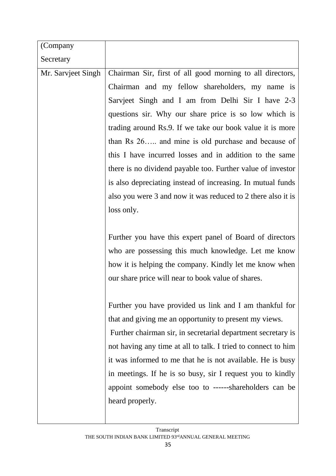| (Company           |                                                               |
|--------------------|---------------------------------------------------------------|
| Secretary          |                                                               |
| Mr. Sarvjeet Singh | Chairman Sir, first of all good morning to all directors,     |
|                    | Chairman and my fellow shareholders, my name is               |
|                    | Sarvjeet Singh and I am from Delhi Sir I have 2-3             |
|                    | questions sir. Why our share price is so low which is         |
|                    | trading around Rs.9. If we take our book value it is more     |
|                    | than Rs 26 and mine is old purchase and because of            |
|                    | this I have incurred losses and in addition to the same       |
|                    | there is no dividend payable too. Further value of investor   |
|                    | is also depreciating instead of increasing. In mutual funds   |
|                    | also you were 3 and now it was reduced to 2 there also it is  |
|                    | loss only.                                                    |
|                    |                                                               |
|                    | Further you have this expert panel of Board of directors      |
|                    | who are possessing this much knowledge. Let me know           |
|                    | how it is helping the company. Kindly let me know when        |
|                    | our share price will near to book value of shares.            |
|                    |                                                               |
|                    | Further you have provided us link and I am thankful for       |
|                    | that and giving me an opportunity to present my views.        |
|                    | Further chairman sir, in secretarial department secretary is  |
|                    | not having any time at all to talk. I tried to connect to him |
|                    | it was informed to me that he is not available. He is busy    |
|                    | in meetings. If he is so busy, sir I request you to kindly    |
|                    | appoint somebody else too to ------shareholders can be        |
|                    | heard properly.                                               |
|                    |                                                               |

 $\overline{\phantom{a}}$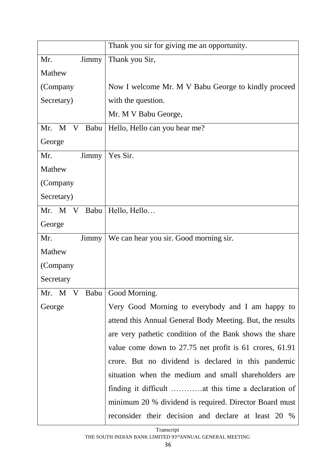|                              | Thank you sir for giving me an opportunity.               |
|------------------------------|-----------------------------------------------------------|
| Mr.<br>Jimmy                 | Thank you Sir,                                            |
| Mathew                       |                                                           |
| (Company                     | Now I welcome Mr. M V Babu George to kindly proceed       |
| Secretary)                   | with the question.                                        |
|                              | Mr. M V Babu George,                                      |
| Mr. M V Babu                 | Hello, Hello can you hear me?                             |
| George                       |                                                           |
| Mr.<br>Jimmy                 | Yes Sir.                                                  |
| Mathew                       |                                                           |
| (Company                     |                                                           |
| Secretary)                   |                                                           |
| Babu<br>Mr. M V              | Hello, Hello                                              |
| George                       |                                                           |
| Mr.<br>Jimmy                 | We can hear you sir. Good morning sir.                    |
| Mathew                       |                                                           |
| (Company                     |                                                           |
| Secretary                    |                                                           |
| Mr. M V Babu   Good Morning. |                                                           |
| George                       | Very Good Morning to everybody and I am happy to          |
|                              | attend this Annual General Body Meeting. But, the results |
|                              | are very pathetic condition of the Bank shows the share   |
|                              | value come down to 27.75 net profit is 61 crores, 61.91   |
|                              | crore. But no dividend is declared in this pandemic       |
|                              | situation when the medium and small shareholders are      |
|                              | finding it difficult at this time a declaration of        |
|                              | minimum 20 % dividend is required. Director Board must    |
|                              | reconsider their decision and declare at least 20 %       |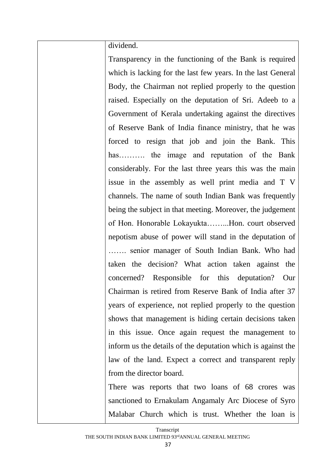dividend.

Transparency in the functioning of the Bank is required which is lacking for the last few years. In the last General Body, the Chairman not replied properly to the question raised. Especially on the deputation of Sri. Adeeb to a Government of Kerala undertaking against the directives of Reserve Bank of India finance ministry, that he was forced to resign that job and join the Bank. This has………. the image and reputation of the Bank considerably. For the last three years this was the main issue in the assembly as well print media and T V channels. The name of south Indian Bank was frequently being the subject in that meeting. Moreover, the judgement of Hon. Honorable Lokayukta……...Hon. court observed nepotism abuse of power will stand in the deputation of ……. senior manager of South Indian Bank. Who had taken the decision? What action taken against the concerned? Responsible for this deputation? Our Chairman is retired from Reserve Bank of India after 37 years of experience, not replied properly to the question shows that management is hiding certain decisions taken in this issue. Once again request the management to inform us the details of the deputation which is against the law of the land. Expect a correct and transparent reply from the director board.

There was reports that two loans of 68 crores was sanctioned to Ernakulam Angamaly Arc Diocese of Syro Malabar Church which is trust. Whether the loan is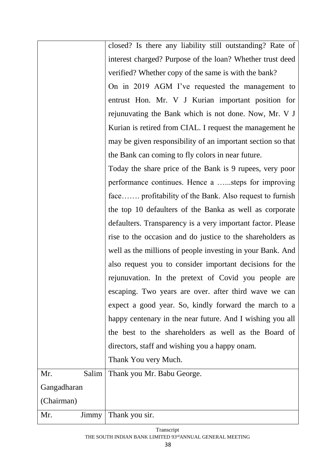|              | closed? Is there any liability still outstanding? Rate of   |
|--------------|-------------------------------------------------------------|
|              | interest charged? Purpose of the loan? Whether trust deed   |
|              | verified? Whether copy of the same is with the bank?        |
|              | On in 2019 AGM I've requested the management to             |
|              | entrust Hon. Mr. V J Kurian important position for          |
|              | rejunuvating the Bank which is not done. Now, Mr. V J       |
|              | Kurian is retired from CIAL. I request the management he    |
|              | may be given responsibility of an important section so that |
|              | the Bank can coming to fly colors in near future.           |
|              | Today the share price of the Bank is 9 rupees, very poor    |
|              | performance continues. Hence a steps for improving          |
|              | face profitability of the Bank. Also request to furnish     |
|              | the top 10 defaulters of the Banka as well as corporate     |
|              | defaulters. Transparency is a very important factor. Please |
|              | rise to the occasion and do justice to the shareholders as  |
|              | well as the millions of people investing in your Bank. And  |
|              | also request you to consider important decisions for the    |
|              | rejunuvation. In the pretext of Covid you people are        |
|              | escaping. Two years are over, after third wave we can       |
|              | expect a good year. So, kindly forward the march to a       |
|              | happy centenary in the near future. And I wishing you all   |
|              | the best to the shareholders as well as the Board of        |
|              | directors, staff and wishing you a happy onam.              |
|              | Thank You very Much.                                        |
| Salim<br>Mr. | Thank you Mr. Babu George.                                  |
| Gangadharan  |                                                             |
| (Chairman)   |                                                             |
| Mr.<br>Jimmy | Thank you sir.                                              |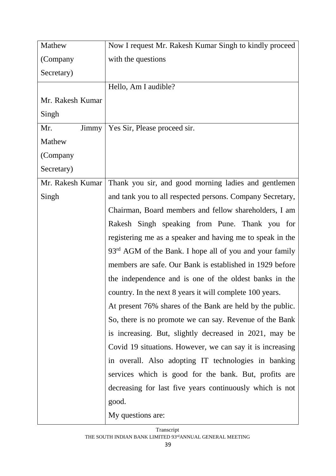| Mathew           | Now I request Mr. Rakesh Kumar Singh to kindly proceed              |
|------------------|---------------------------------------------------------------------|
| (Company         | with the questions                                                  |
| Secretary)       |                                                                     |
|                  | Hello, Am I audible?                                                |
| Mr. Rakesh Kumar |                                                                     |
| Singh            |                                                                     |
| Mr.<br>Jimmy     | Yes Sir, Please proceed sir.                                        |
| Mathew           |                                                                     |
| (Company         |                                                                     |
| Secretary)       |                                                                     |
| Mr. Rakesh Kumar | Thank you sir, and good morning ladies and gentlemen                |
| Singh            | and tank you to all respected persons. Company Secretary,           |
|                  | Chairman, Board members and fellow shareholders, I am               |
|                  | Rakesh Singh speaking from Pune. Thank you for                      |
|                  | registering me as a speaker and having me to speak in the           |
|                  | 93 <sup>rd</sup> AGM of the Bank. I hope all of you and your family |
|                  | members are safe. Our Bank is established in 1929 before            |
|                  | the independence and is one of the oldest banks in the              |
|                  | country. In the next 8 years it will complete 100 years.            |
|                  | At present 76% shares of the Bank are held by the public.           |
|                  | So, there is no promote we can say. Revenue of the Bank             |
|                  | is increasing. But, slightly decreased in 2021, may be              |
|                  | Covid 19 situations. However, we can say it is increasing           |
|                  | in overall. Also adopting IT technologies in banking                |
|                  | services which is good for the bank. But, profits are               |
|                  | decreasing for last five years continuously which is not            |
|                  | good.                                                               |
|                  | My questions are:                                                   |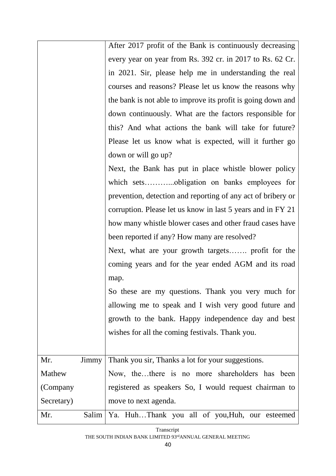|            |       | After 2017 profit of the Bank is continuously decreasing     |
|------------|-------|--------------------------------------------------------------|
|            |       | every year on year from Rs. 392 cr. in 2017 to Rs. 62 Cr.    |
|            |       | in 2021. Sir, please help me in understanding the real       |
|            |       | courses and reasons? Please let us know the reasons why      |
|            |       | the bank is not able to improve its profit is going down and |
|            |       | down continuously. What are the factors responsible for      |
|            |       | this? And what actions the bank will take for future?        |
|            |       | Please let us know what is expected, will it further go      |
|            |       | down or will go up?                                          |
|            |       | Next, the Bank has put in place whistle blower policy        |
|            |       |                                                              |
|            |       | prevention, detection and reporting of any act of bribery or |
|            |       | corruption. Please let us know in last 5 years and in FY 21  |
|            |       | how many whistle blower cases and other fraud cases have     |
|            |       | been reported if any? How many are resolved?                 |
|            |       | Next, what are your growth targets profit for the            |
|            |       | coming years and for the year ended AGM and its road         |
|            |       | map.                                                         |
|            |       | So these are my questions. Thank you very much for           |
|            |       | allowing me to speak and I wish very good future and         |
|            |       | growth to the bank. Happy independence day and best          |
|            |       | wishes for all the coming festivals. Thank you.              |
|            |       |                                                              |
| Mr.        | Jimmy | Thank you sir, Thanks a lot for your suggestions.            |
| Mathew     |       | Now, thethere is no more shareholders has been               |
| (Company   |       | registered as speakers So, I would request chairman to       |
| Secretary) |       | move to next agenda.                                         |
| Mr.        |       | Salim   Ya. HuhThank you all of you, Huh, our esteemed       |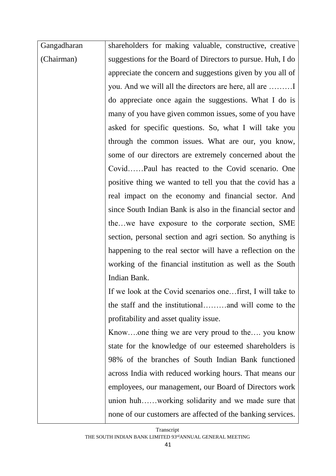| Gangadharan | shareholders for making valuable, constructive, creative    |
|-------------|-------------------------------------------------------------|
| (Chairman)  | suggestions for the Board of Directors to pursue. Huh, I do |
|             | appreciate the concern and suggestions given by you all of  |
|             | you. And we will all the directors are here, all are        |
|             | do appreciate once again the suggestions. What I do is      |
|             | many of you have given common issues, some of you have      |
|             | asked for specific questions. So, what I will take you      |
|             | through the common issues. What are our, you know,          |
|             | some of our directors are extremely concerned about the     |
|             | CovidPaul has reacted to the Covid scenario. One            |
|             | positive thing we wanted to tell you that the covid has a   |
|             | real impact on the economy and financial sector. And        |
|             | since South Indian Bank is also in the financial sector and |
|             | thewe have exposure to the corporate section, SME           |
|             | section, personal section and agri section. So anything is  |
|             | happening to the real sector will have a reflection on the  |
|             | working of the financial institution as well as the South   |
|             | Indian Bank.                                                |
|             | If we look at the Covid scenarios onefirst, I will take to  |
|             | the staff and the institutionaland will come to the         |
|             | profitability and asset quality issue.                      |
|             | Knowone thing we are very proud to the you know             |
|             | state for the knowledge of our esteemed shareholders is     |
|             | 98% of the branches of South Indian Bank functioned         |
|             | across India with reduced working hours. That means our     |
|             | employees, our management, our Board of Directors work      |
|             | union huhworking solidarity and we made sure that           |
|             | none of our customers are affected of the banking services. |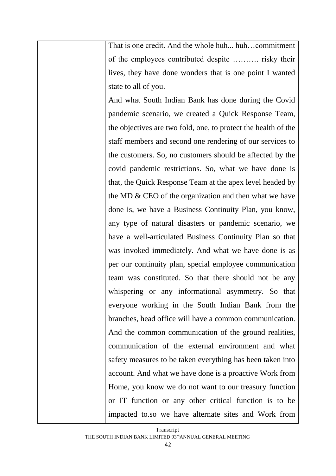That is one credit. And the whole huh... huh…commitment of the employees contributed despite ………. risky their lives, they have done wonders that is one point I wanted state to all of you.

And what South Indian Bank has done during the Covid pandemic scenario, we created a Quick Response Team, the objectives are two fold, one, to protect the health of the staff members and second one rendering of our services to the customers. So, no customers should be affected by the covid pandemic restrictions. So, what we have done is that, the Quick Response Team at the apex level headed by the MD & CEO of the organization and then what we have done is, we have a Business Continuity Plan, you know, any type of natural disasters or pandemic scenario, we have a well-articulated Business Continuity Plan so that was invoked immediately. And what we have done is as per our continuity plan, special employee communication team was constituted. So that there should not be any whispering or any informational asymmetry. So that everyone working in the South Indian Bank from the branches, head office will have a common communication. And the common communication of the ground realities, communication of the external environment and what safety measures to be taken everything has been taken into account. And what we have done is a proactive Work from Home, you know we do not want to our treasury function or IT function or any other critical function is to be impacted to.so we have alternate sites and Work from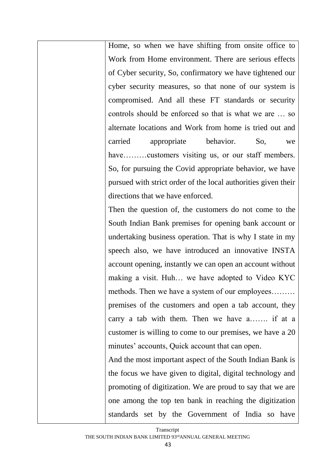Home, so when we have shifting from onsite office to Work from Home environment. There are serious effects of Cyber security, So, confirmatory we have tightened our cyber security measures, so that none of our system is compromised. And all these FT standards or security controls should be enforced so that is what we are … so alternate locations and Work from home is tried out and carried appropriate behavior. So, we have………customers visiting us, or our staff members. So, for pursuing the Covid appropriate behavior, we have pursued with strict order of the local authorities given their directions that we have enforced.

Then the question of, the customers do not come to the South Indian Bank premises for opening bank account or undertaking business operation. That is why I state in my speech also, we have introduced an innovative INSTA account opening, instantly we can open an account without making a visit. Huh… we have adopted to Video KYC methods. Then we have a system of our employees……… premises of the customers and open a tab account, they carry a tab with them. Then we have a……. if at a customer is willing to come to our premises, we have a 20 minutes' accounts, Quick account that can open.

And the most important aspect of the South Indian Bank is the focus we have given to digital, digital technology and promoting of digitization. We are proud to say that we are one among the top ten bank in reaching the digitization standards set by the Government of India so have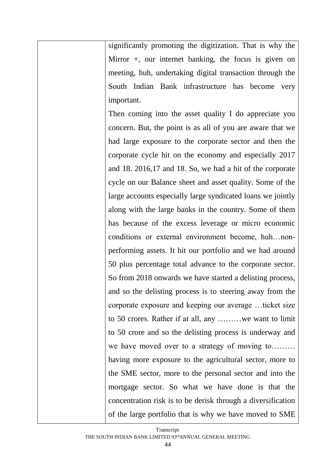significantly promoting the digitization. That is why the Mirror +, our internet banking, the focus is given on meeting, huh, undertaking digital transaction through the South Indian Bank infrastructure has become very important.

Then coming into the asset quality I do appreciate you concern. But, the point is as all of you are aware that we had large exposure to the corporate sector and then the corporate cycle hit on the economy and especially 2017 and 18. 2016,17 and 18. So, we had a hit of the corporate cycle on our Balance sheet and asset quality. Some of the large accounts especially large syndicated loans we jointly along with the large banks in the country. Some of them has because of the excess leverage or micro economic conditions or external environment become, huh…nonperforming assets. It hit our portfolio and we had around 50 plus percentage total advance to the corporate sector. So from 2018 onwards we have started a delisting process, and so the delisting process is to steering away from the corporate exposure and keeping our average …ticket size to 50 crores. Rather if at all, any ………we want to limit to 50 crore and so the delisting process is underway and we have moved over to a strategy of moving to……… having more exposure to the agricultural sector, more to the SME sector, more to the personal sector and into the mortgage sector. So what we have done is that the concentration risk is to be derisk through a diversification of the large portfolio that is why we have moved to SME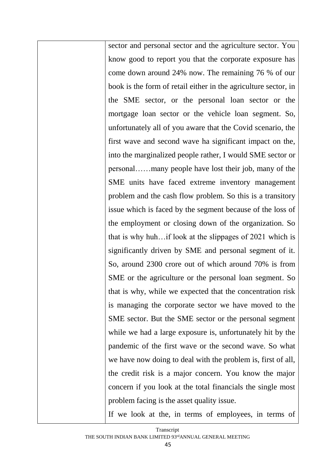sector and personal sector and the agriculture sector. You know good to report you that the corporate exposure has come down around 24% now. The remaining 76 % of our book is the form of retail either in the agriculture sector, in the SME sector, or the personal loan sector or the mortgage loan sector or the vehicle loan segment. So, unfortunately all of you aware that the Covid scenario, the first wave and second wave ha significant impact on the, into the marginalized people rather, I would SME sector or personal……many people have lost their job, many of the SME units have faced extreme inventory management problem and the cash flow problem. So this is a transitory issue which is faced by the segment because of the loss of the employment or closing down of the organization. So that is why huh…if look at the slippages of 2021 which is significantly driven by SME and personal segment of it. So, around 2300 crore out of which around 70% is from SME or the agriculture or the personal loan segment. So that is why, while we expected that the concentration risk is managing the corporate sector we have moved to the SME sector. But the SME sector or the personal segment while we had a large exposure is, unfortunately hit by the pandemic of the first wave or the second wave. So what we have now doing to deal with the problem is, first of all, the credit risk is a major concern. You know the major concern if you look at the total financials the single most problem facing is the asset quality issue.

If we look at the, in terms of employees, in terms of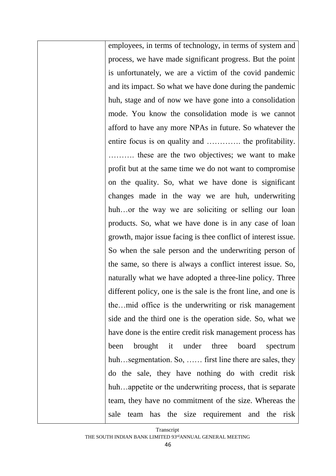employees, in terms of technology, in terms of system and process, we have made significant progress. But the point is unfortunately, we are a victim of the covid pandemic and its impact. So what we have done during the pandemic huh, stage and of now we have gone into a consolidation mode. You know the consolidation mode is we cannot afford to have any more NPAs in future. So whatever the entire focus is on quality and …………. the profitability. ………. these are the two objectives; we want to make profit but at the same time we do not want to compromise on the quality. So, what we have done is significant changes made in the way we are huh, underwriting huh...or the way we are soliciting or selling our loan products. So, what we have done is in any case of loan growth, major issue facing is thee conflict of interest issue. So when the sale person and the underwriting person of the same, so there is always a conflict interest issue. So, naturally what we have adopted a three-line policy. Three different policy, one is the sale is the front line, and one is the…mid office is the underwriting or risk management side and the third one is the operation side. So, what we have done is the entire credit risk management process has been brought it under three board spectrum huh...segmentation. So, ...... first line there are sales, they do the sale, they have nothing do with credit risk huh...appetite or the underwriting process, that is separate team, they have no commitment of the size. Whereas the sale team has the size requirement and the risk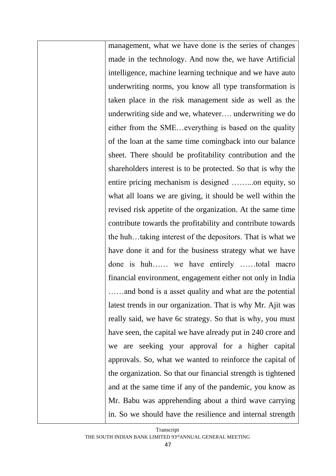management, what we have done is the series of changes made in the technology. And now the, we have Artificial intelligence, machine learning technique and we have auto underwriting norms, you know all type transformation is taken place in the risk management side as well as the underwriting side and we, whatever…. underwriting we do either from the SME…everything is based on the quality of the loan at the same time comingback into our balance sheet. There should be profitability contribution and the shareholders interest is to be protected. So that is why the entire pricing mechanism is designed ……...on equity, so what all loans we are giving, it should be well within the revised risk appetite of the organization. At the same time contribute towards the profitability and contribute towards the huh…taking interest of the depositors. That is what we have done it and for the business strategy what we have done is huh…… we have entirely ……total macro financial environment, engagement either not only in India ……and bond is a asset quality and what are the potential latest trends in our organization. That is why Mr. Ajit was really said, we have 6c strategy. So that is why, you must have seen, the capital we have already put in 240 crore and we are seeking your approval for a higher capital approvals. So, what we wanted to reinforce the capital of the organization. So that our financial strength is tightened and at the same time if any of the pandemic, you know as Mr. Babu was apprehending about a third wave carrying in. So we should have the resilience and internal strength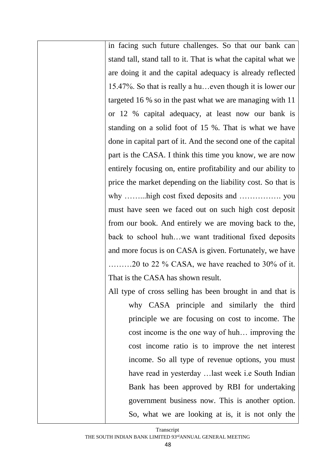in facing such future challenges. So that our bank can stand tall, stand tall to it. That is what the capital what we are doing it and the capital adequacy is already reflected 15.47%. So that is really a hu…even though it is lower our targeted 16 % so in the past what we are managing with 11 or 12 % capital adequacy, at least now our bank is standing on a solid foot of 15 %. That is what we have done in capital part of it. And the second one of the capital part is the CASA. I think this time you know, we are now entirely focusing on, entire profitability and our ability to price the market depending on the liability cost. So that is why ……...high cost fixed deposits and ……………. you must have seen we faced out on such high cost deposit from our book. And entirely we are moving back to the, back to school huh…we want traditional fixed deposits and more focus is on CASA is given. Fortunately, we have ………20 to 22 % CASA, we have reached to 30% of it. That is the CASA has shown result.

All type of cross selling has been brought in and that is why CASA principle and similarly the third principle we are focusing on cost to income. The cost income is the one way of huh… improving the cost income ratio is to improve the net interest income. So all type of revenue options, you must have read in yesterday …last week i.e South Indian Bank has been approved by RBI for undertaking government business now. This is another option. So, what we are looking at is, it is not only the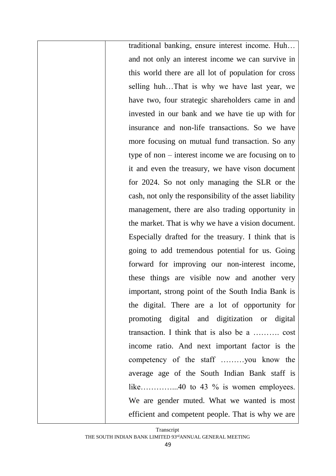traditional banking, ensure interest income. Huh… and not only an interest income we can survive in this world there are all lot of population for cross selling huh…That is why we have last year, we have two, four strategic shareholders came in and invested in our bank and we have tie up with for insurance and non-life transactions. So we have more focusing on mutual fund transaction. So any type of non – interest income we are focusing on to it and even the treasury, we have vison document for 2024. So not only managing the SLR or the cash, not only the responsibility of the asset liability management, there are also trading opportunity in the market. That is why we have a vision document. Especially drafted for the treasury. I think that is going to add tremendous potential for us. Going forward for improving our non-interest income, these things are visible now and another very important, strong point of the South India Bank is the digital. There are a lot of opportunity for promoting digital and digitization or digital transaction. I think that is also be a ………. cost income ratio. And next important factor is the competency of the staff ………you know the average age of the South Indian Bank staff is like……………..40 to 43 % is women employees. We are gender muted. What we wanted is most efficient and competent people. That is why we are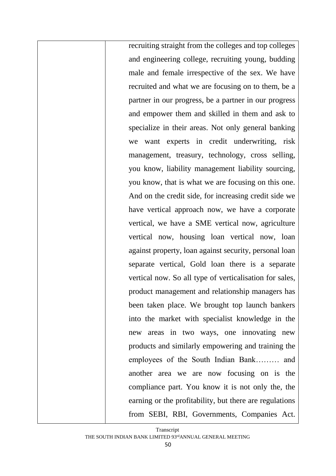recruiting straight from the colleges and top colleges and engineering college, recruiting young, budding male and female irrespective of the sex. We have recruited and what we are focusing on to them, be a partner in our progress, be a partner in our progress and empower them and skilled in them and ask to specialize in their areas. Not only general banking we want experts in credit underwriting, risk management, treasury, technology, cross selling, you know, liability management liability sourcing, you know, that is what we are focusing on this one. And on the credit side, for increasing credit side we have vertical approach now, we have a corporate vertical, we have a SME vertical now, agriculture vertical now, housing loan vertical now, loan against property, loan against security, personal loan separate vertical, Gold loan there is a separate vertical now. So all type of verticalisation for sales, product management and relationship managers has been taken place. We brought top launch bankers into the market with specialist knowledge in the new areas in two ways, one innovating new products and similarly empowering and training the employees of the South Indian Bank……… and another area we are now focusing on is the compliance part. You know it is not only the, the earning or the profitability, but there are regulations from SEBI, RBI, Governments, Companies Act.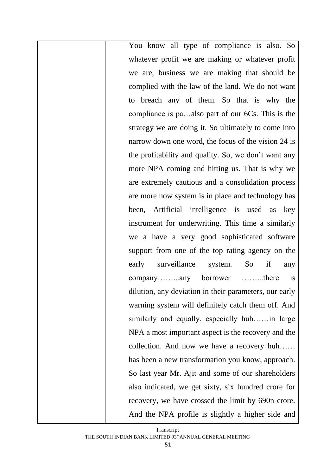You know all type of compliance is also. So whatever profit we are making or whatever profit we are, business we are making that should be complied with the law of the land. We do not want to breach any of them. So that is why the compliance is pa…also part of our 6Cs. This is the strategy we are doing it. So ultimately to come into narrow down one word, the focus of the vision 24 is the profitability and quality. So, we don't want any more NPA coming and hitting us. That is why we are extremely cautious and a consolidation process are more now system is in place and technology has been, Artificial intelligence is used as key instrument for underwriting. This time a similarly we a have a very good sophisticated software support from one of the top rating agency on the early surveillance system. So if any company……...any borrower ……...there is dilution, any deviation in their parameters, our early warning system will definitely catch them off. And similarly and equally, especially huh……in large NPA a most important aspect is the recovery and the collection. And now we have a recovery huh…… has been a new transformation you know, approach. So last year Mr. Ajit and some of our shareholders also indicated, we get sixty, six hundred crore for recovery, we have crossed the limit by 690n crore. And the NPA profile is slightly a higher side and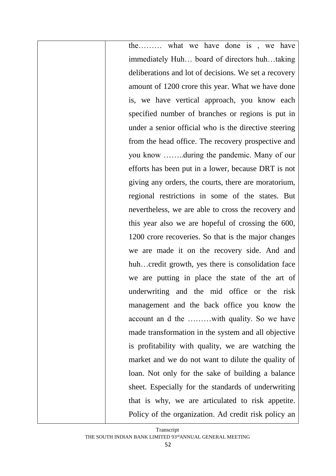the……… what we have done is , we have immediately Huh… board of directors huh…taking deliberations and lot of decisions. We set a recovery amount of 1200 crore this year. What we have done is, we have vertical approach, you know each specified number of branches or regions is put in under a senior official who is the directive steering from the head office. The recovery prospective and you know ……..during the pandemic. Many of our efforts has been put in a lower, because DRT is not giving any orders, the courts, there are moratorium, regional restrictions in some of the states. But nevertheless, we are able to cross the recovery and this year also we are hopeful of crossing the 600, 1200 crore recoveries. So that is the major changes we are made it on the recovery side. And and huh…credit growth, yes there is consolidation face we are putting in place the state of the art of underwriting and the mid office or the risk management and the back office you know the account an d the ………with quality. So we have made transformation in the system and all objective is profitability with quality, we are watching the market and we do not want to dilute the quality of loan. Not only for the sake of building a balance sheet. Especially for the standards of underwriting that is why, we are articulated to risk appetite. Policy of the organization. Ad credit risk policy an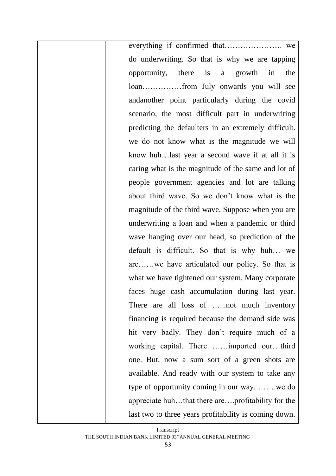everything if confirmed that…………………. we do underwriting. So that is why we are tapping opportunity, there is a growth in the loan……………from July onwards you will see andanother point particularly during the covid scenario, the most difficult part in underwriting predicting the defaulters in an extremely difficult. we do not know what is the magnitude we will know huh…last year a second wave if at all it is caring what is the magnitude of the same and lot of people government agencies and lot are talking about third wave. So we don't know what is the magnitude of the third wave. Suppose when you are underwriting a loan and when a pandemic or third wave hanging over our head, so prediction of the default is difficult. So that is why huh… we are……we have articulated our policy. So that is what we have tightened our system. Many corporate faces huge cash accumulation during last year. There are all loss of ......not much inventory financing is required because the demand side was hit very badly. They don't require much of a working capital. There ……imported our…third one. But, now a sum sort of a green shots are available. And ready with our system to take any type of opportunity coming in our way. …….we do appreciate huh…that there are….profitability for the last two to three years profitability is coming down.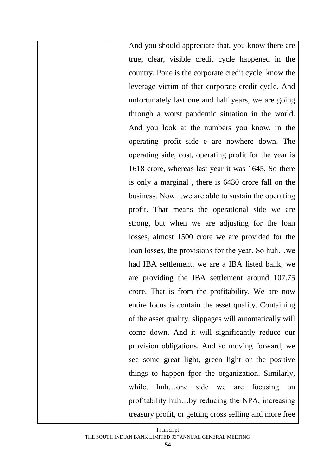And you should appreciate that, you know there are true, clear, visible credit cycle happened in the country. Pone is the corporate credit cycle, know the leverage victim of that corporate credit cycle. And unfortunately last one and half years, we are going through a worst pandemic situation in the world. And you look at the numbers you know, in the operating profit side e are nowhere down. The operating side, cost, operating profit for the year is 1618 crore, whereas last year it was 1645. So there is only a marginal , there is 6430 crore fall on the business. Now…we are able to sustain the operating profit. That means the operational side we are strong, but when we are adjusting for the loan losses, almost 1500 crore we are provided for the loan losses, the provisions for the year. So huh…we had IBA settlement, we are a IBA listed bank, we are providing the IBA settlement around 107.75 crore. That is from the profitability. We are now entire focus is contain the asset quality. Containing of the asset quality, slippages will automatically will come down. And it will significantly reduce our provision obligations. And so moving forward, we see some great light, green light or the positive things to happen fpor the organization. Similarly, while, huh…one side we are focusing on profitability huh…by reducing the NPA, increasing treasury profit, or getting cross selling and more free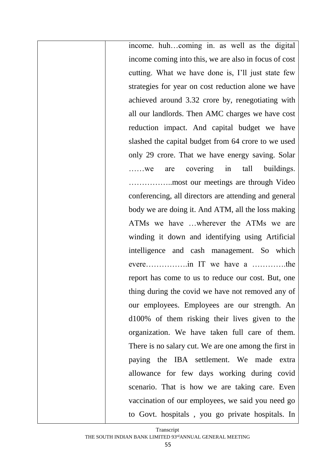income. huh…coming in. as well as the digital income coming into this, we are also in focus of cost cutting. What we have done is, I'll just state few strategies for year on cost reduction alone we have achieved around 3.32 crore by, renegotiating with all our landlords. Then AMC charges we have cost reduction impact. And capital budget we have slashed the capital budget from 64 crore to we used only 29 crore. That we have energy saving. Solar ……we are covering in tall buildings. ……………..most our meetings are through Video conferencing, all directors are attending and general body we are doing it. And ATM, all the loss making ATMs we have …wherever the ATMs we are winding it down and identifying using Artificial intelligence and cash management. So which evere…………….in IT we have a ………….the report has come to us to reduce our cost. But, one thing during the covid we have not removed any of our employees. Employees are our strength. An d100% of them risking their lives given to the organization. We have taken full care of them. There is no salary cut. We are one among the first in paying the IBA settlement. We made extra allowance for few days working during covid scenario. That is how we are taking care. Even vaccination of our employees, we said you need go to Govt. hospitals , you go private hospitals. In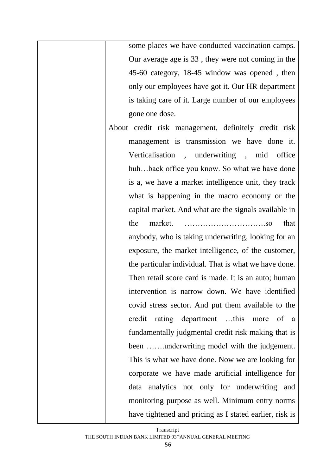some places we have conducted vaccination camps. Our average age is 33 , they were not coming in the 45-60 category, 18-45 window was opened , then only our employees have got it. Our HR department is taking care of it. Large number of our employees gone one dose.

About credit risk management, definitely credit risk management is transmission we have done it. Verticalisation , underwriting , mid office huh…back office you know. So what we have done is a, we have a market intelligence unit, they track what is happening in the macro economy or the capital market. And what are the signals available in the market. ………………………….so that

> anybody, who is taking underwriting, looking for an exposure, the market intelligence, of the customer, the particular individual. That is what we have done. Then retail score card is made. It is an auto; human intervention is narrow down. We have identified covid stress sector. And put them available to the credit rating department …this more of a fundamentally judgmental credit risk making that is been …….underwriting model with the judgement. This is what we have done. Now we are looking for corporate we have made artificial intelligence for data analytics not only for underwriting and monitoring purpose as well. Minimum entry norms have tightened and pricing as I stated earlier, risk is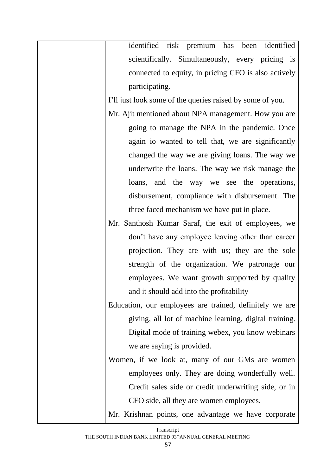| identified risk premium has been identified               |
|-----------------------------------------------------------|
| scientifically. Simultaneously, every pricing is          |
| connected to equity, in pricing CFO is also actively      |
| participating.                                            |
| I'll just look some of the queries raised by some of you. |
| Mr. Ajit mentioned about NPA management. How you are      |
| going to manage the NPA in the pandemic. Once             |
| again io wanted to tell that, we are significantly        |
| changed the way we are giving loans. The way we           |
| underwrite the loans. The way we risk manage the          |
| loans, and the way we see the operations,                 |
| disbursement, compliance with disbursement. The           |
| three faced mechanism we have put in place.               |
| Mr. Santhosh Kumar Saraf, the exit of employees, we       |
| don't have any employee leaving other than career         |
| projection. They are with us; they are the sole           |
| strength of the organization. We patronage our            |
| employees. We want growth supported by quality            |
| and it should add into the profitability                  |
| Education, our employees are trained, definitely we are   |
| giving, all lot of machine learning, digital training.    |
| Digital mode of training webex, you know webinars         |
| we are saying is provided.                                |
| Women, if we look at, many of our GMs are women           |
| employees only. They are doing wonderfully well.          |
| Credit sales side or credit underwriting side, or in      |
| CFO side, all they are women employees.                   |
|                                                           |

Mr. Krishnan points, one advantage we have corporate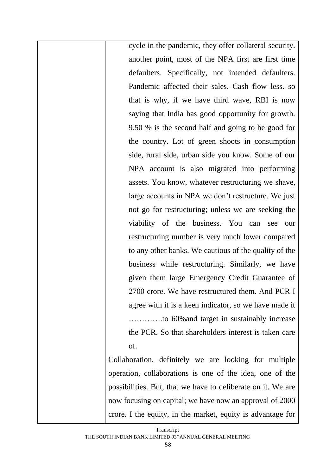cycle in the pandemic, they offer collateral security. another point, most of the NPA first are first time defaulters. Specifically, not intended defaulters. Pandemic affected their sales. Cash flow less. so that is why, if we have third wave, RBI is now saying that India has good opportunity for growth. 9.50 % is the second half and going to be good for the country. Lot of green shoots in consumption side, rural side, urban side you know. Some of our NPA account is also migrated into performing assets. You know, whatever restructuring we shave, large accounts in NPA we don't restructure. We just not go for restructuring; unless we are seeking the viability of the business. You can see our restructuring number is very much lower compared to any other banks. We cautious of the quality of the business while restructuring. Similarly, we have given them large Emergency Credit Guarantee of 2700 crore. We have restructured them. And PCR I agree with it is a keen indicator, so we have made it ………….to 60%and target in sustainably increase the PCR. So that shareholders interest is taken care of.

Collaboration, definitely we are looking for multiple operation, collaborations is one of the idea, one of the possibilities. But, that we have to deliberate on it. We are now focusing on capital; we have now an approval of 2000 crore. I the equity, in the market, equity is advantage for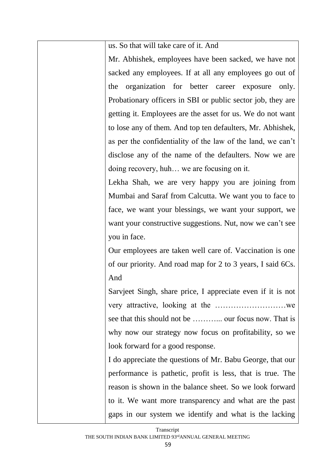us. So that will take care of it. And

Mr. Abhishek, employees have been sacked, we have not sacked any employees. If at all any employees go out of the organization for better career exposure only. Probationary officers in SBI or public sector job, they are getting it. Employees are the asset for us. We do not want to lose any of them. And top ten defaulters, Mr. Abhishek, as per the confidentiality of the law of the land, we can't disclose any of the name of the defaulters. Now we are doing recovery, huh… we are focusing on it.

Lekha Shah, we are very happy you are joining from Mumbai and Saraf from Calcutta. We want you to face to face, we want your blessings, we want your support, we want your constructive suggestions. Nut, now we can't see you in face.

Our employees are taken well care of. Vaccination is one of our priority. And road map for 2 to 3 years, I said 6Cs. And

Sarvjeet Singh, share price, I appreciate even if it is not very attractive, looking at the ………………………we see that this should not be .............. our focus now. That is why now our strategy now focus on profitability, so we look forward for a good response.

I do appreciate the questions of Mr. Babu George, that our performance is pathetic, profit is less, that is true. The reason is shown in the balance sheet. So we look forward to it. We want more transparency and what are the past gaps in our system we identify and what is the lacking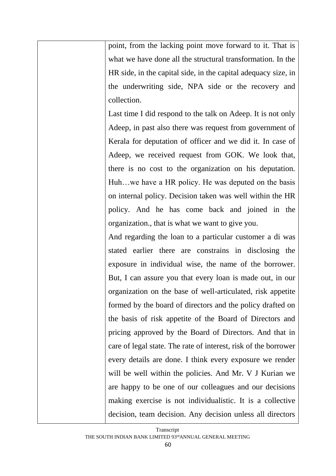point, from the lacking point move forward to it. That is what we have done all the structural transformation. In the HR side, in the capital side, in the capital adequacy size, in the underwriting side, NPA side or the recovery and collection.

Last time I did respond to the talk on Adeep. It is not only Adeep, in past also there was request from government of Kerala for deputation of officer and we did it. In case of Adeep, we received request from GOK. We look that, there is no cost to the organization on his deputation. Huh…we have a HR policy. He was deputed on the basis on internal policy. Decision taken was well within the HR policy. And he has come back and joined in the organization., that is what we want to give you.

And regarding the loan to a particular customer a di was stated earlier there are constrains in disclosing the exposure in individual wise, the name of the borrower. But, I can assure you that every loan is made out, in our organization on the base of well-articulated, risk appetite formed by the board of directors and the policy drafted on the basis of risk appetite of the Board of Directors and pricing approved by the Board of Directors. And that in care of legal state. The rate of interest, risk of the borrower every details are done. I think every exposure we render will be well within the policies. And Mr. V J Kurian we are happy to be one of our colleagues and our decisions making exercise is not individualistic. It is a collective decision, team decision. Any decision unless all directors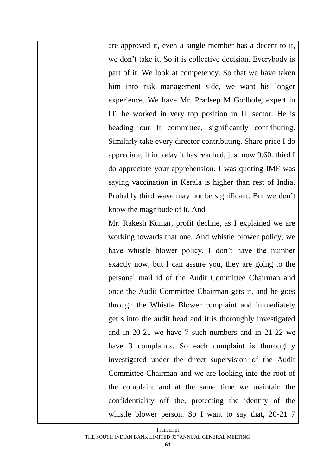are approved it, even a single member has a decent to it, we don't take it. So it is collective decision. Everybody is part of it. We look at competency. So that we have taken him into risk management side, we want his longer experience. We have Mr. Pradeep M Godbole, expert in IT, he worked in very top position in IT sector. He is heading our It committee, significantly contributing. Similarly take every director contributing. Share price I do appreciate, it in today it has reached, just now 9.60. third I do appreciate your apprehension. I was quoting IMF was saying vaccination in Kerala is higher than rest of India. Probably third wave may not be significant. But we don't know the magnitude of it. And

Mr. Rakesh Kumar, profit decline, as I explained we are working towards that one. And whistle blower policy, we have whistle blower policy. I don't have the number exactly now, but I can assure you, they are going to the personal mail id of the Audit Committee Chairman and once the Audit Committee Chairman gets it, and he goes through the Whistle Blower complaint and immediately get s into the audit head and it is thoroughly investigated and in 20-21 we have 7 such numbers and in 21-22 we have 3 complaints. So each complaint is thoroughly investigated under the direct supervision of the Audit Committee Chairman and we are looking into the root of the complaint and at the same time we maintain the confidentiality off the, protecting the identity of the whistle blower person. So I want to say that, 20-21 7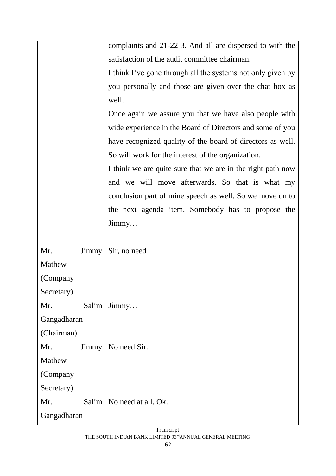|             |       | complaints and 21-22 3. And all are dispersed to with the   |
|-------------|-------|-------------------------------------------------------------|
|             |       | satisfaction of the audit committee chairman.               |
|             |       | I think I've gone through all the systems not only given by |
|             |       | you personally and those are given over the chat box as     |
|             |       | well.                                                       |
|             |       | Once again we assure you that we have also people with      |
|             |       | wide experience in the Board of Directors and some of you   |
|             |       | have recognized quality of the board of directors as well.  |
|             |       | So will work for the interest of the organization.          |
|             |       | I think we are quite sure that we are in the right path now |
|             |       | and we will move afterwards. So that is what my             |
|             |       | conclusion part of mine speech as well. So we move on to    |
|             |       | the next agenda item. Somebody has to propose the           |
|             |       | $\lim_{m \to \infty}$                                       |
|             |       |                                                             |
| Mr.         | Jimmy | Sir, no need                                                |
| Mathew      |       |                                                             |
| (Company    |       |                                                             |
| Secretary)  |       |                                                             |
| Mr.         | Salim | $\lim_{\text{my}}$                                          |
| Gangadharan |       |                                                             |
| (Chairman)  |       |                                                             |
| Mr.         | Jimmy | No need Sir.                                                |
| Mathew      |       |                                                             |
| (Company    |       |                                                             |
| Secretary)  |       |                                                             |
| Mr.         | Salim | No need at all. Ok.                                         |
| Gangadharan |       |                                                             |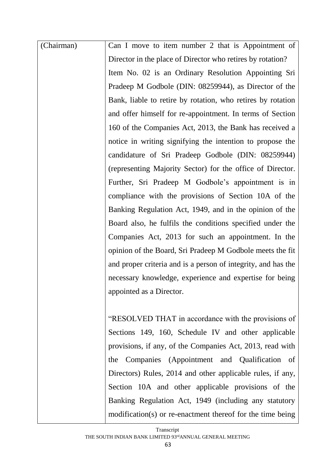| (Chairman) | Can I move to item number 2 that is Appointment of            |
|------------|---------------------------------------------------------------|
|            | Director in the place of Director who retires by rotation?    |
|            | Item No. 02 is an Ordinary Resolution Appointing Sri          |
|            | Pradeep M Godbole (DIN: 08259944), as Director of the         |
|            | Bank, liable to retire by rotation, who retires by rotation   |
|            | and offer himself for re-appointment. In terms of Section     |
|            | 160 of the Companies Act, 2013, the Bank has received a       |
|            | notice in writing signifying the intention to propose the     |
|            | candidature of Sri Pradeep Godbole (DIN: 08259944)            |
|            | (representing Majority Sector) for the office of Director.    |
|            | Further, Sri Pradeep M Godbole's appointment is in            |
|            | compliance with the provisions of Section 10A of the          |
|            | Banking Regulation Act, 1949, and in the opinion of the       |
|            | Board also, he fulfils the conditions specified under the     |
|            | Companies Act, 2013 for such an appointment. In the           |
|            | opinion of the Board, Sri Pradeep M Godbole meets the fit     |
|            | and proper criteria and is a person of integrity, and has the |
|            | necessary knowledge, experience and expertise for being       |
|            | appointed as a Director.                                      |
|            |                                                               |
|            | "RESOLVED THAT in accordance with the provisions of           |
|            | Sections 149, 160, Schedule IV and other applicable           |
|            | provisions, if any, of the Companies Act, 2013, read with     |
|            | the Companies (Appointment and Qualification of               |
|            | Directors) Rules, 2014 and other applicable rules, if any,    |
|            | Section 10A and other applicable provisions of the            |
|            | Banking Regulation Act, 1949 (including any statutory         |
|            | modification(s) or re-enactment thereof for the time being    |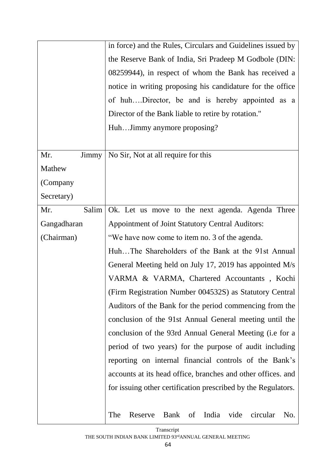|              | in force) and the Rules, Circulars and Guidelines issued by   |
|--------------|---------------------------------------------------------------|
|              | the Reserve Bank of India, Sri Pradeep M Godbole (DIN:        |
|              | 08259944), in respect of whom the Bank has received a         |
|              | notice in writing proposing his candidature for the office    |
|              | of huhDirector, be and is hereby appointed as a               |
|              | Director of the Bank liable to retire by rotation."           |
|              | HuhJimmy anymore proposing?                                   |
|              |                                                               |
| Mr.<br>Jimmy | No Sir, Not at all require for this                           |
| Mathew       |                                                               |
| (Company     |                                                               |
| Secretary)   |                                                               |
| Mr.          | Salim   Ok. Let us move to the next agenda. Agenda Three      |
| Gangadharan  | <b>Appointment of Joint Statutory Central Auditors:</b>       |
| (Chairman)   | "We have now come to item no. 3 of the agenda.                |
|              | HuhThe Shareholders of the Bank at the 91st Annual            |
|              | General Meeting held on July 17, 2019 has appointed M/s       |
|              | VARMA & VARMA, Chartered Accountants, Kochi                   |
|              | (Firm Registration Number 004532S) as Statutory Central       |
|              | Auditors of the Bank for the period commencing from the       |
|              | conclusion of the 91st Annual General meeting until the       |
|              | conclusion of the 93rd Annual General Meeting (i.e for a      |
|              | period of two years) for the purpose of audit including       |
|              | reporting on internal financial controls of the Bank's        |
|              | accounts at its head office, branches and other offices, and  |
|              | for issuing other certification prescribed by the Regulators. |
|              |                                                               |
|              | India<br>vide<br>The<br>Bank of<br>circular<br>Reserve<br>No. |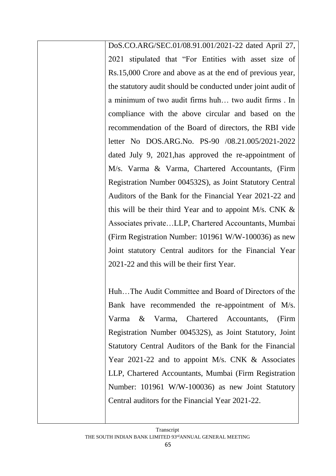DoS.CO.ARG/SEC.01/08.91.001/2021-22 dated April 27, 2021 stipulated that "For Entities with asset size of Rs.15,000 Crore and above as at the end of previous year, the statutory audit should be conducted under joint audit of a minimum of two audit firms huh… two audit firms . In compliance with the above circular and based on the recommendation of the Board of directors, the RBI vide letter No DOS.ARG.No. PS-90 /08.21.005/2021-2022 dated July 9, 2021,has approved the re-appointment of M/s. Varma & Varma, Chartered Accountants, (Firm Registration Number 004532S), as Joint Statutory Central Auditors of the Bank for the Financial Year 2021-22 and this will be their third Year and to appoint M/s. CNK  $\&$ Associates private…LLP, Chartered Accountants, Mumbai (Firm Registration Number: 101961 W/W-100036) as new Joint statutory Central auditors for the Financial Year 2021-22 and this will be their first Year.

Huh…The Audit Committee and Board of Directors of the Bank have recommended the re-appointment of M/s. Varma & Varma, Chartered Accountants, (Firm Registration Number 004532S), as Joint Statutory, Joint Statutory Central Auditors of the Bank for the Financial Year 2021-22 and to appoint M/s. CNK & Associates LLP, Chartered Accountants, Mumbai (Firm Registration Number: 101961 W/W-100036) as new Joint Statutory Central auditors for the Financial Year 2021-22.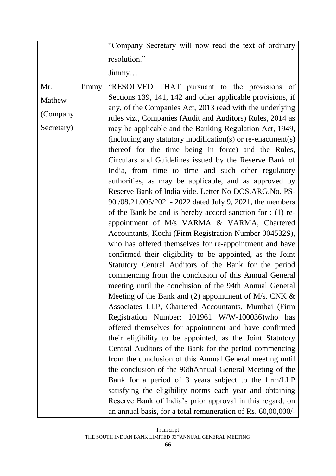|            |       | "Company Secretary will now read the text of ordinary                                                              |
|------------|-------|--------------------------------------------------------------------------------------------------------------------|
|            |       | resolution."                                                                                                       |
|            |       | $\lim_{\text{my}}$                                                                                                 |
| Mr.        | Jimmy | "RESOLVED THAT pursuant to the provisions of                                                                       |
| Mathew     |       | Sections 139, 141, 142 and other applicable provisions, if                                                         |
| (Company   |       | any, of the Companies Act, 2013 read with the underlying                                                           |
|            |       | rules viz., Companies (Audit and Auditors) Rules, 2014 as                                                          |
| Secretary) |       | may be applicable and the Banking Regulation Act, 1949,                                                            |
|            |       | (including any statutory modification(s) or re-enactment(s)<br>thereof for the time being in force) and the Rules, |
|            |       | Circulars and Guidelines issued by the Reserve Bank of                                                             |
|            |       | India, from time to time and such other regulatory                                                                 |
|            |       | authorities, as may be applicable, and as approved by                                                              |
|            |       | Reserve Bank of India vide. Letter No DOS.ARG.No. PS-                                                              |
|            |       | 90/08.21.005/2021 - 2022 dated July 9, 2021, the members                                                           |
|            |       | of the Bank be and is hereby accord sanction for $: (1)$ re-                                                       |
|            |       | appointment of M/s VARMA & VARMA, Chartered                                                                        |
|            |       | Accountants, Kochi (Firm Registration Number 004532S),                                                             |
|            |       | who has offered themselves for re-appointment and have                                                             |
|            |       | confirmed their eligibility to be appointed, as the Joint<br>Statutory Central Auditors of the Bank for the period |
|            |       | commencing from the conclusion of this Annual General                                                              |
|            |       | meeting until the conclusion of the 94th Annual General                                                            |
|            |       | Meeting of the Bank and (2) appointment of M/s. CNK $\&$                                                           |
|            |       | Associates LLP, Chartered Accountants, Mumbai (Firm                                                                |
|            |       | Registration Number: 101961 W/W-100036)who has                                                                     |
|            |       | offered themselves for appointment and have confirmed                                                              |
|            |       | their eligibility to be appointed, as the Joint Statutory                                                          |
|            |       | Central Auditors of the Bank for the period commencing                                                             |
|            |       | from the conclusion of this Annual General meeting until                                                           |
|            |       | the conclusion of the 96thAnnual General Meeting of the                                                            |
|            |       | Bank for a period of 3 years subject to the firm/LLP<br>satisfying the eligibility norms each year and obtaining   |
|            |       | Reserve Bank of India's prior approval in this regard, on                                                          |
|            |       | an annual basis, for a total remuneration of Rs. 60,00,000/-                                                       |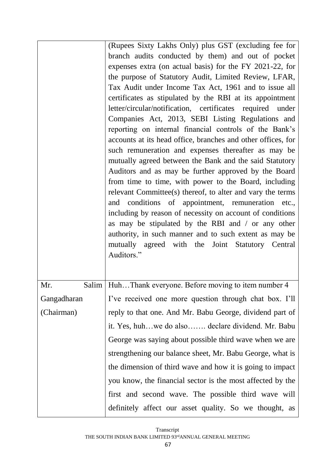|             | (Rupees Sixty Lakhs Only) plus GST (excluding fee for          |
|-------------|----------------------------------------------------------------|
|             | branch audits conducted by them) and out of pocket             |
|             | expenses extra (on actual basis) for the FY 2021-22, for       |
|             | the purpose of Statutory Audit, Limited Review, LFAR,          |
|             | Tax Audit under Income Tax Act, 1961 and to issue all          |
|             | certificates as stipulated by the RBI at its appointment       |
|             | letter/circular/notification, certificates required under      |
|             | Companies Act, 2013, SEBI Listing Regulations and              |
|             | reporting on internal financial controls of the Bank's         |
|             | accounts at its head office, branches and other offices, for   |
|             | such remuneration and expenses thereafter as may be            |
|             | mutually agreed between the Bank and the said Statutory        |
|             | Auditors and as may be further approved by the Board           |
|             | from time to time, with power to the Board, including          |
|             | relevant Committee(s) thereof, to alter and vary the terms     |
|             | and conditions of appointment, remuneration etc.,              |
|             | including by reason of necessity on account of conditions      |
|             | as may be stipulated by the RBI and / or any other             |
|             | authority, in such manner and to such extent as may be         |
|             | mutually agreed with the Joint Statutory Central<br>Auditors." |
|             |                                                                |
|             |                                                                |
| Mr.         | Salim   HuhThank everyone. Before moving to item number 4      |
| Gangadharan | I've received one more question through chat box. I'll         |
| (Chairman)  | reply to that one. And Mr. Babu George, dividend part of       |
|             | it. Yes, huhwe do also declare dividend. Mr. Babu              |
|             | George was saying about possible third wave when we are        |
|             | strengthening our balance sheet, Mr. Babu George, what is      |
|             | the dimension of third wave and how it is going to impact      |
|             | you know, the financial sector is the most affected by the     |
|             | first and second wave. The possible third wave will            |
|             | definitely affect our asset quality. So we thought, as         |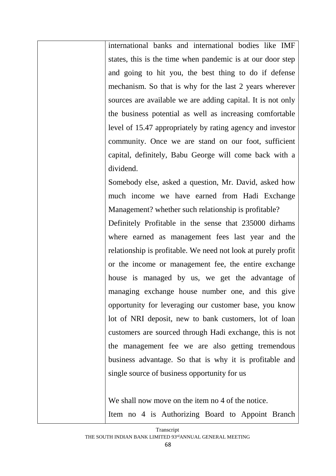international banks and international bodies like IMF states, this is the time when pandemic is at our door step and going to hit you, the best thing to do if defense mechanism. So that is why for the last 2 years wherever sources are available we are adding capital. It is not only the business potential as well as increasing comfortable level of 15.47 appropriately by rating agency and investor community. Once we are stand on our foot, sufficient capital, definitely, Babu George will come back with a dividend.

Somebody else, asked a question, Mr. David, asked how much income we have earned from Hadi Exchange Management? whether such relationship is profitable?

Definitely Profitable in the sense that 235000 dirhams where earned as management fees last year and the relationship is profitable. We need not look at purely profit or the income or management fee, the entire exchange house is managed by us, we get the advantage of managing exchange house number one, and this give opportunity for leveraging our customer base, you know lot of NRI deposit, new to bank customers, lot of loan customers are sourced through Hadi exchange, this is not the management fee we are also getting tremendous business advantage. So that is why it is profitable and single source of business opportunity for us

We shall now move on the item no 4 of the notice. Item no 4 is Authorizing Board to Appoint Branch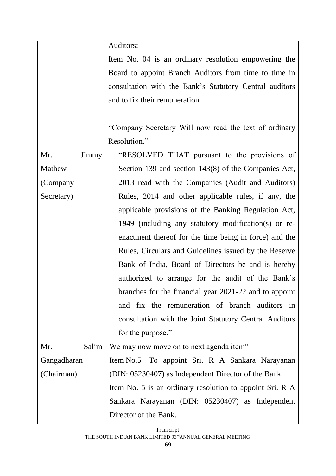|              | Auditors:                                                |
|--------------|----------------------------------------------------------|
|              | Item No. 04 is an ordinary resolution empowering the     |
|              | Board to appoint Branch Auditors from time to time in    |
|              | consultation with the Bank's Statutory Central auditors  |
|              | and to fix their remuneration.                           |
|              |                                                          |
|              | "Company Secretary Will now read the text of ordinary    |
|              | Resolution."                                             |
| Jimmy<br>Mr. | "RESOLVED THAT pursuant to the provisions of             |
| Mathew       | Section 139 and section 143(8) of the Companies Act,     |
| (Company     | 2013 read with the Companies (Audit and Auditors)        |
| Secretary)   | Rules, 2014 and other applicable rules, if any, the      |
|              | applicable provisions of the Banking Regulation Act,     |
|              | 1949 (including any statutory modification(s) or re-     |
|              | enactment thereof for the time being in force) and the   |
|              | Rules, Circulars and Guidelines issued by the Reserve    |
|              | Bank of India, Board of Directors be and is hereby       |
|              | authorized to arrange for the audit of the Bank's        |
|              | branches for the financial year 2021-22 and to appoint   |
|              | and fix the remuneration of branch auditors in           |
|              | consultation with the Joint Statutory Central Auditors   |
|              | for the purpose."                                        |
| Salim<br>Mr. | We may now move on to next agenda item"                  |
| Gangadharan  | Item No.5 To appoint Sri. R A Sankara Narayanan          |
| (Chairman)   | (DIN: 05230407) as Independent Director of the Bank.     |
|              | Item No. 5 is an ordinary resolution to appoint Sri. R A |
|              | Sankara Narayanan (DIN: 05230407) as Independent         |
|              | Director of the Bank.                                    |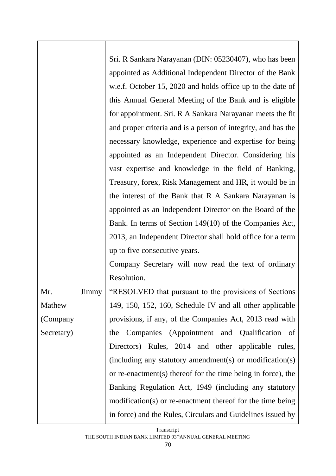|            |       | Sri. R Sankara Narayanan (DIN: 05230407), who has been        |
|------------|-------|---------------------------------------------------------------|
|            |       | appointed as Additional Independent Director of the Bank      |
|            |       | w.e.f. October 15, 2020 and holds office up to the date of    |
|            |       | this Annual General Meeting of the Bank and is eligible       |
|            |       | for appointment. Sri. R A Sankara Narayanan meets the fit     |
|            |       | and proper criteria and is a person of integrity, and has the |
|            |       | necessary knowledge, experience and expertise for being       |
|            |       | appointed as an Independent Director. Considering his         |
|            |       | vast expertise and knowledge in the field of Banking,         |
|            |       | Treasury, forex, Risk Management and HR, it would be in       |
|            |       | the interest of the Bank that R A Sankara Narayanan is        |
|            |       | appointed as an Independent Director on the Board of the      |
|            |       | Bank. In terms of Section 149(10) of the Companies Act,       |
|            |       | 2013, an Independent Director shall hold office for a term    |
|            |       | up to five consecutive years.                                 |
|            |       | Company Secretary will now read the text of ordinary          |
|            |       | Resolution.                                                   |
| Mr.        | Jimmy | "RESOLVED that pursuant to the provisions of Sections         |
| Mathew     |       | 149, 150, 152, 160, Schedule IV and all other applicable      |
| (Company   |       | provisions, if any, of the Companies Act, 2013 read with      |
| Secretary) |       | Companies (Appointment and Qualification of<br>the            |
|            |       | Directors) Rules, 2014 and other applicable rules,            |
|            |       | (including any statutory amendment(s) or modification(s)      |
|            |       | or re-enactment(s) thereof for the time being in force), the  |
|            |       | Banking Regulation Act, 1949 (including any statutory         |
|            |       | modification(s) or re-enactment thereof for the time being    |
|            |       | in force) and the Rules, Circulars and Guidelines issued by   |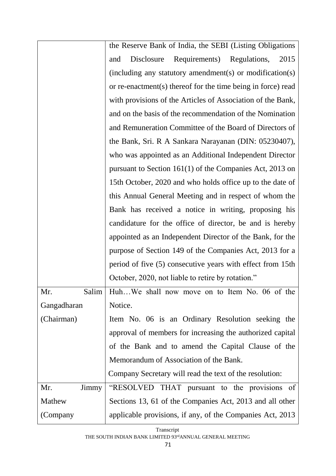|              | the Reserve Bank of India, the SEBI (Listing Obligations     |
|--------------|--------------------------------------------------------------|
|              | Requirements)<br>Regulations,<br>2015<br>Disclosure<br>and   |
|              | (including any statutory amendment(s) or modification(s)     |
|              | or re-enactment(s) thereof for the time being in force) read |
|              | with provisions of the Articles of Association of the Bank,  |
|              | and on the basis of the recommendation of the Nomination     |
|              | and Remuneration Committee of the Board of Directors of      |
|              | the Bank, Sri. R A Sankara Narayanan (DIN: 05230407),        |
|              | who was appointed as an Additional Independent Director      |
|              | pursuant to Section $161(1)$ of the Companies Act, 2013 on   |
|              | 15th October, 2020 and who holds office up to the date of    |
|              | this Annual General Meeting and in respect of whom the       |
|              | Bank has received a notice in writing, proposing his         |
|              | candidature for the office of director, be and is hereby     |
|              | appointed as an Independent Director of the Bank, for the    |
|              | purpose of Section 149 of the Companies Act, 2013 for a      |
|              | period of five (5) consecutive years with effect from 15th   |
|              | October, 2020, not liable to retire by rotation."            |
| Mr.          | Salim   HuhWe shall now move on to Item No. 06 of the        |
| Gangadharan  | Notice.                                                      |
| (Chairman)   | Item No. 06 is an Ordinary Resolution seeking the            |
|              | approval of members for increasing the authorized capital    |
|              | of the Bank and to amend the Capital Clause of the           |
|              | Memorandum of Association of the Bank.                       |
|              | Company Secretary will read the text of the resolution:      |
| Mr.<br>Jimmy | "RESOLVED THAT pursuant to the provisions of                 |
| Mathew       | Sections 13, 61 of the Companies Act, 2013 and all other     |
| (Company     | applicable provisions, if any, of the Companies Act, 2013    |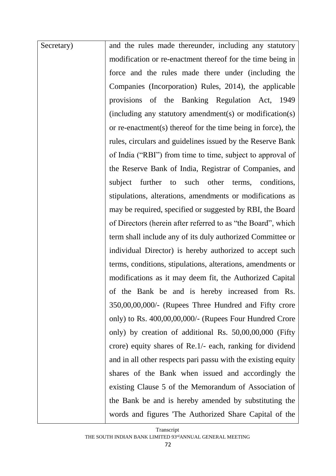| Secretary) | and the rules made thereunder, including any statutory        |
|------------|---------------------------------------------------------------|
|            | modification or re-enactment thereof for the time being in    |
|            | force and the rules made there under (including the           |
|            | Companies (Incorporation) Rules, 2014), the applicable        |
|            | provisions of the Banking Regulation Act, 1949                |
|            | (including any statutory amendment(s) or modification(s)      |
|            | or re-enactment(s) thereof for the time being in force), the  |
|            | rules, circulars and guidelines issued by the Reserve Bank    |
|            | of India ("RBI") from time to time, subject to approval of    |
|            | the Reserve Bank of India, Registrar of Companies, and        |
|            | further to such other terms, conditions,<br>subject           |
|            | stipulations, alterations, amendments or modifications as     |
|            | may be required, specified or suggested by RBI, the Board     |
|            | of Directors (herein after referred to as "the Board", which  |
|            | term shall include any of its duly authorized Committee or    |
|            | individual Director) is hereby authorized to accept such      |
|            | terms, conditions, stipulations, alterations, amendments or   |
|            | modifications as it may deem fit, the Authorized Capital      |
|            | of the Bank be and is hereby increased from Rs.               |
|            | 350,00,00,000/- (Rupees Three Hundred and Fifty crore         |
|            | only) to Rs. 400,00,00,000/- (Rupees Four Hundred Crore       |
|            | only) by creation of additional Rs. 50,00,00,000 (Fifty       |
|            | crore) equity shares of Re.1/- each, ranking for dividend     |
|            | and in all other respects pari passu with the existing equity |
|            | shares of the Bank when issued and accordingly the            |
|            | existing Clause 5 of the Memorandum of Association of         |
|            | the Bank be and is hereby amended by substituting the         |
|            | words and figures The Authorized Share Capital of the         |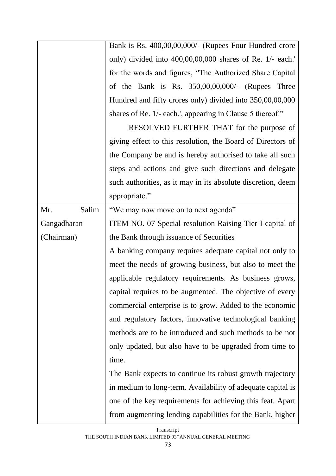|              | Bank is Rs. 400,00,00,000/- (Rupees Four Hundred crore       |
|--------------|--------------------------------------------------------------|
|              | only) divided into 400,00,00,000 shares of Re. 1/- each.'    |
|              | for the words and figures, 'The Authorized Share Capital     |
|              | of the Bank is Rs. $350,00,00,000/$ - (Rupees Three          |
|              | Hundred and fifty crores only) divided into 350,00,00,000    |
|              | shares of Re. 1/- each.', appearing in Clause 5 thereof."    |
|              | RESOLVED FURTHER THAT for the purpose of                     |
|              | giving effect to this resolution, the Board of Directors of  |
|              | the Company be and is hereby authorised to take all such     |
|              | steps and actions and give such directions and delegate      |
|              | such authorities, as it may in its absolute discretion, deem |
|              | appropriate."                                                |
| Salim<br>Mr. | "We may now move on to next agenda"                          |
| Gangadharan  | ITEM NO. 07 Special resolution Raising Tier I capital of     |
| (Chairman)   | the Bank through issuance of Securities                      |
|              | A banking company requires adequate capital not only to      |
|              | meet the needs of growing business, but also to meet the     |
|              | applicable regulatory requirements. As business grows,       |
|              | capital requires to be augmented. The objective of every     |
|              | commercial enterprise is to grow. Added to the economic      |
|              | and regulatory factors, innovative technological banking     |
|              | methods are to be introduced and such methods to be not      |
|              | only updated, but also have to be upgraded from time to      |
|              | time.                                                        |
|              | The Bank expects to continue its robust growth trajectory    |
|              | in medium to long-term. Availability of adequate capital is  |
|              | one of the key requirements for achieving this feat. Apart   |
|              | from augmenting lending capabilities for the Bank, higher    |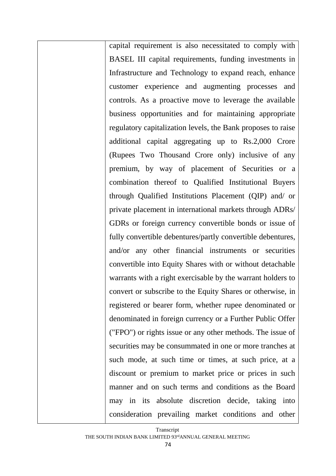capital requirement is also necessitated to comply with BASEL III capital requirements, funding investments in Infrastructure and Technology to expand reach, enhance customer experience and augmenting processes and controls. As a proactive move to leverage the available business opportunities and for maintaining appropriate regulatory capitalization levels, the Bank proposes to raise additional capital aggregating up to Rs.2,000 Crore (Rupees Two Thousand Crore only) inclusive of any premium, by way of placement of Securities or a combination thereof to Qualified Institutional Buyers through Qualified Institutions Placement (QIP) and/ or private placement in international markets through ADRs/ GDRs or foreign currency convertible bonds or issue of fully convertible debentures/partly convertible debentures, and/or any other financial instruments or securities convertible into Equity Shares with or without detachable warrants with a right exercisable by the warrant holders to convert or subscribe to the Equity Shares or otherwise, in registered or bearer form, whether rupee denominated or denominated in foreign currency or a Further Public Offer ("FPO") or rights issue or any other methods. The issue of securities may be consummated in one or more tranches at such mode, at such time or times, at such price, at a discount or premium to market price or prices in such manner and on such terms and conditions as the Board may in its absolute discretion decide, taking into consideration prevailing market conditions and other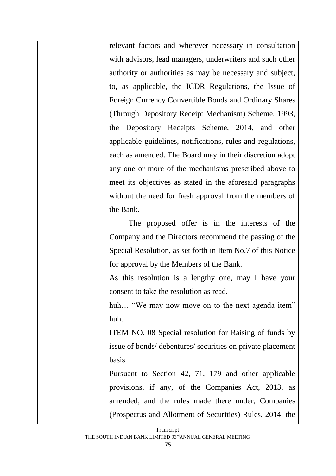| relevant factors and wherever necessary in consultation      |
|--------------------------------------------------------------|
| with advisors, lead managers, underwriters and such other    |
| authority or authorities as may be necessary and subject,    |
| to, as applicable, the ICDR Regulations, the Issue of        |
| Foreign Currency Convertible Bonds and Ordinary Shares       |
| (Through Depository Receipt Mechanism) Scheme, 1993,         |
| the Depository Receipts Scheme, 2014, and other              |
| applicable guidelines, notifications, rules and regulations, |
| each as amended. The Board may in their discretion adopt     |
| any one or more of the mechanisms prescribed above to        |
| meet its objectives as stated in the aforesaid paragraphs    |
| without the need for fresh approval from the members of      |
| the Bank.                                                    |
| The proposed offer is in the interests of the                |
| Company and the Directors recommend the passing of the       |
| Special Resolution, as set forth in Item No.7 of this Notice |
| for approval by the Members of the Bank.                     |
| As this resolution is a lengthy one, may I have your         |
| consent to take the resolution as read.                      |
| huh "We may now move on to the next agenda item"             |
| huh                                                          |
| ITEM NO. 08 Special resolution for Raising of funds by       |
| issue of bonds/ debentures/ securities on private placement  |
| basis                                                        |
| Pursuant to Section 42, 71, 179 and other applicable         |
| provisions, if any, of the Companies Act, 2013, as           |
| amended, and the rules made there under, Companies           |
| (Prospectus and Allotment of Securities) Rules, 2014, the    |
|                                                              |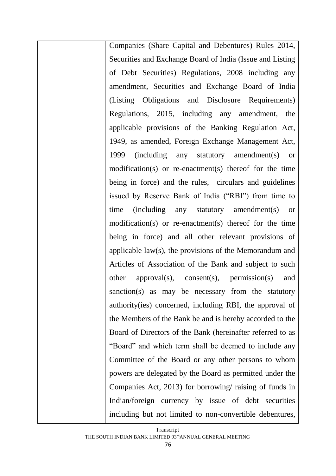Companies (Share Capital and Debentures) Rules 2014, Securities and Exchange Board of India (Issue and Listing of Debt Securities) Regulations, 2008 including any amendment, Securities and Exchange Board of India (Listing Obligations and Disclosure Requirements) Regulations, 2015, including any amendment, the applicable provisions of the Banking Regulation Act, 1949, as amended, Foreign Exchange Management Act, 1999 (including any statutory amendment(s) or modification(s) or re-enactment(s) thereof for the time being in force) and the rules, circulars and guidelines issued by Reserve Bank of India ("RBI") from time to time (including any statutory amendment(s) or modification(s) or re-enactment(s) thereof for the time being in force) and all other relevant provisions of applicable law(s), the provisions of the Memorandum and Articles of Association of the Bank and subject to such other approval(s), consent(s), permission(s) and sanction(s) as may be necessary from the statutory authority(ies) concerned, including RBI, the approval of the Members of the Bank be and is hereby accorded to the Board of Directors of the Bank (hereinafter referred to as "Board" and which term shall be deemed to include any Committee of the Board or any other persons to whom powers are delegated by the Board as permitted under the Companies Act, 2013) for borrowing/ raising of funds in Indian/foreign currency by issue of debt securities including but not limited to non-convertible debentures,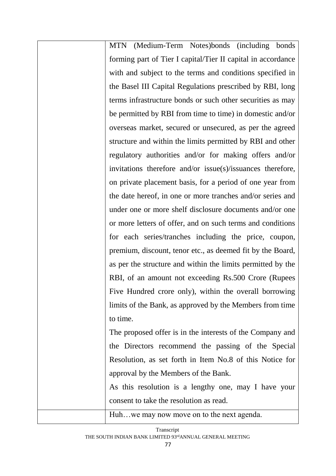| MTN (Medium-Term Notes)bonds (including bonds                |
|--------------------------------------------------------------|
| forming part of Tier I capital/Tier II capital in accordance |
| with and subject to the terms and conditions specified in    |
| the Basel III Capital Regulations prescribed by RBI, long    |
| terms infrastructure bonds or such other securities as may   |
| be permitted by RBI from time to time) in domestic and/or    |
| overseas market, secured or unsecured, as per the agreed     |
| structure and within the limits permitted by RBI and other   |
| regulatory authorities and/or for making offers and/or       |
| invitations therefore and/or issue(s)/issuances therefore,   |
| on private placement basis, for a period of one year from    |
| the date hereof, in one or more tranches and/or series and   |
| under one or more shelf disclosure documents and/or one      |
| or more letters of offer, and on such terms and conditions   |
| for each series/tranches including the price, coupon,        |
| premium, discount, tenor etc., as deemed fit by the Board,   |
| as per the structure and within the limits permitted by the  |
| RBI, of an amount not exceeding Rs.500 Crore (Rupees         |
| Five Hundred crore only), within the overall borrowing       |
| limits of the Bank, as approved by the Members from time     |
| to time.                                                     |
| The proposed offer is in the interests of the Company and    |
| the Directors recommend the passing of the Special           |
| Resolution, as set forth in Item No.8 of this Notice for     |
| approval by the Members of the Bank.                         |
| As this resolution is a lengthy one, may I have your         |
|                                                              |

consent to take the resolution as read.

Huh…we may now move on to the next agenda.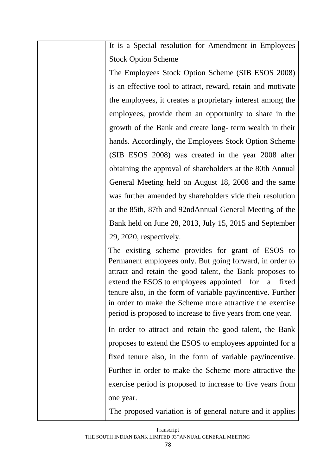It is a Special resolution for Amendment in Employees Stock Option Scheme

The Employees Stock Option Scheme (SIB ESOS 2008) is an effective tool to attract, reward, retain and motivate the employees, it creates a proprietary interest among the employees, provide them an opportunity to share in the growth of the Bank and create long- term wealth in their hands. Accordingly, the Employees Stock Option Scheme (SIB ESOS 2008) was created in the year 2008 after obtaining the approval of shareholders at the 80th Annual General Meeting held on August 18, 2008 and the same was further amended by shareholders vide their resolution at the 85th, 87th and 92ndAnnual General Meeting of the Bank held on June 28, 2013, July 15, 2015 and September 29, 2020, respectively.

The existing scheme provides for grant of ESOS to Permanent employees only. But going forward, in order to attract and retain the good talent, the Bank proposes to extend the ESOS to employees appointed for a fixed tenure also, in the form of variable pay/incentive. Further in order to make the Scheme more attractive the exercise period is proposed to increase to five years from one year.

In order to attract and retain the good talent, the Bank proposes to extend the ESOS to employees appointed for a fixed tenure also, in the form of variable pay/incentive. Further in order to make the Scheme more attractive the exercise period is proposed to increase to five years from one year.

The proposed variation is of general nature and it applies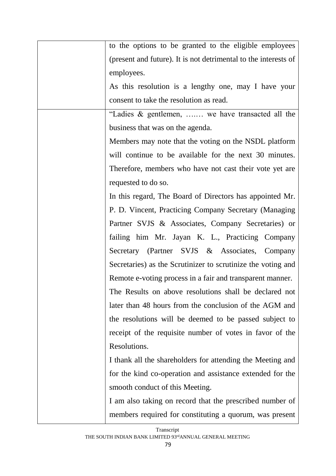| to the options to be granted to the eligible employees          |
|-----------------------------------------------------------------|
| (present and future). It is not detrimental to the interests of |
| employees.                                                      |
| As this resolution is a lengthy one, may I have your            |
| consent to take the resolution as read.                         |
| "Ladies & gentlemen,  we have transacted all the                |
| business that was on the agenda.                                |
| Members may note that the voting on the NSDL platform           |
| will continue to be available for the next 30 minutes.          |
| Therefore, members who have not cast their vote yet are         |
| requested to do so.                                             |
| In this regard, The Board of Directors has appointed Mr.        |
| P. D. Vincent, Practicing Company Secretary (Managing           |
| Partner SVJS & Associates, Company Secretaries) or              |
| failing him Mr. Jayan K. L., Practicing Company                 |
| Secretary (Partner SVJS & Associates, Company                   |
| Secretaries) as the Scrutinizer to scrutinize the voting and    |
| Remote e-voting process in a fair and transparent manner.       |
| The Results on above resolutions shall be declared not          |
| later than 48 hours from the conclusion of the AGM and          |
| the resolutions will be deemed to be passed subject to          |
| receipt of the requisite number of votes in favor of the        |
| Resolutions.                                                    |
| I thank all the shareholders for attending the Meeting and      |
| for the kind co-operation and assistance extended for the       |
| smooth conduct of this Meeting.                                 |
| I am also taking on record that the prescribed number of        |
| members required for constituting a quorum, was present         |